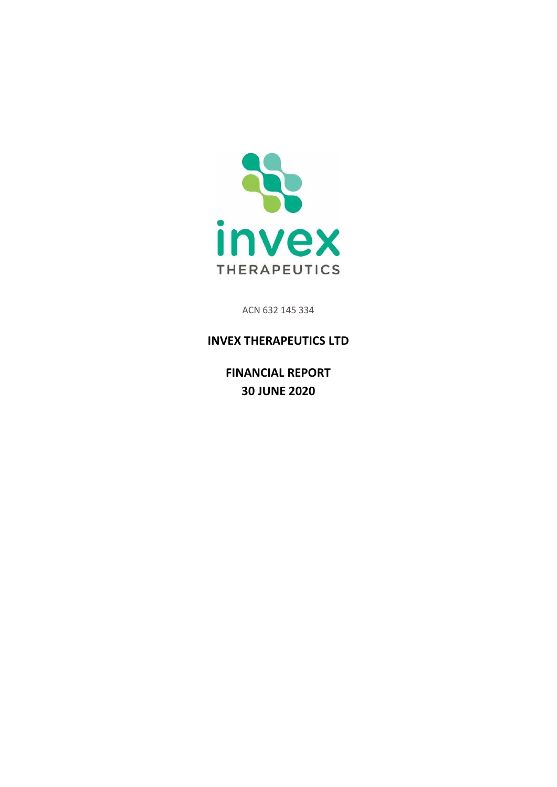

ACN 632 145 334

# **INVEX THERAPEUTICS LTD**

**FINANCIAL REPORT 30 JUNE 2020**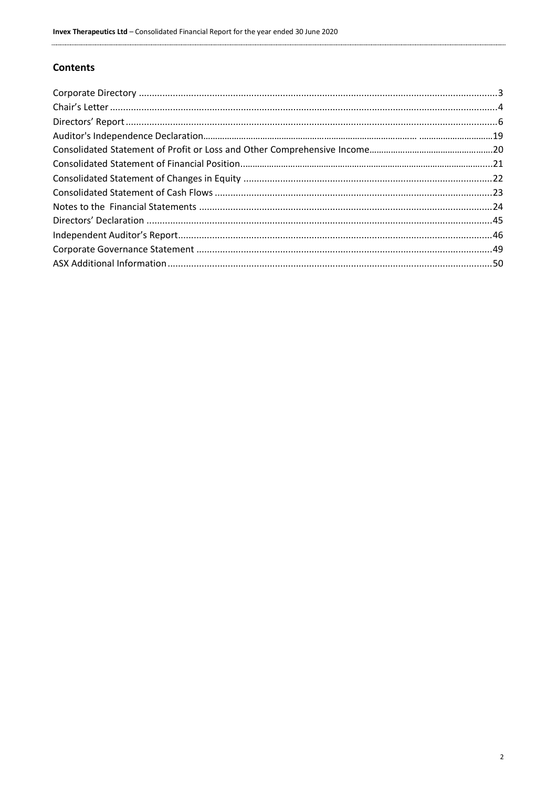# **Contents**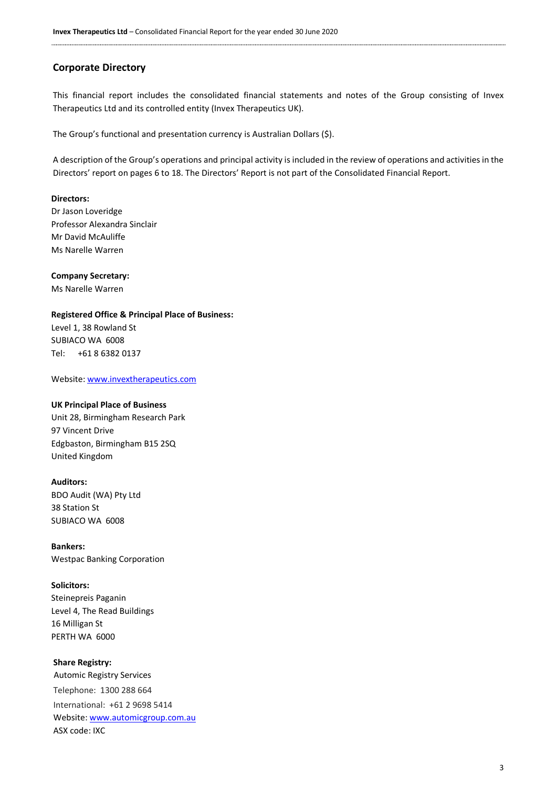# <span id="page-2-0"></span>**Corporate Directory**

This financial report includes the consolidated financial statements and notes of the Group consisting of Invex Therapeutics Ltd and its controlled entity (Invex Therapeutics UK).

The Group's functional and presentation currency is Australian Dollars (\$).

A description of the Group's operations and principal activity is included in the review of operations and activities in the Directors' report on pages 6 to 18. The Directors' Report is not part of the Consolidated Financial Report.

#### **Directors:**

Dr Jason Loveridge Professor Alexandra Sinclair Mr David McAuliffe Ms Narelle Warren

**Company Secretary:**

Ms Narelle Warren

### **Registered Office & Principal Place of Business:**

Level 1, 38 Rowland St SUBIACO WA 6008 Tel: +61 8 6382 0137

Website[: www.invextherapeutics.com](http://www.invextherapeutics.com/)

#### **UK Principal Place of Business**

Unit 28, Birmingham Research Park 97 Vincent Drive Edgbaston, Birmingham B15 2SQ United Kingdom

#### **Auditors:**

BDO Audit (WA) Pty Ltd 38 Station St SUBIACO WA 6008

**Bankers:** Westpac Banking Corporation

#### **Solicitors:**

Steinepreis Paganin Level 4, The Read Buildings 16 Milligan St PERTH WA 6000

#### **Share Registry:**

Automic Registry Services Telephone: 1300 288 664 International: +61 2 9698 5414 Website[: www.automicgroup.com.au](http://www.automicgroup.com.au/) ASX code: IXC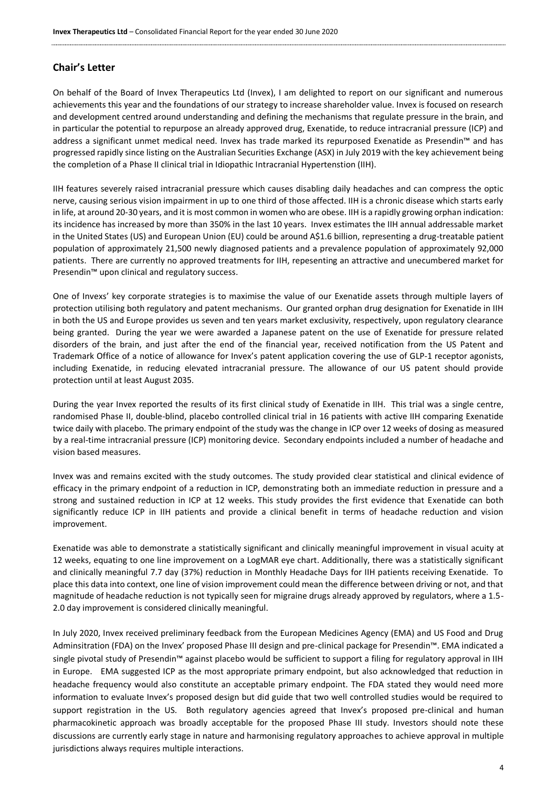# <span id="page-3-0"></span>**Chair's Letter**

On behalf of the Board of Invex Therapeutics Ltd (Invex), I am delighted to report on our significant and numerous achievements this year and the foundations of our strategy to increase shareholder value. Invex is focused on research and development centred around understanding and defining the mechanisms that regulate pressure in the brain, and in particular the potential to repurpose an already approved drug, Exenatide, to reduce intracranial pressure (ICP) and address a significant unmet medical need. Invex has trade marked its repurposed Exenatide as Presendin™ and has progressed rapidly since listing on the Australian Securities Exchange (ASX) in July 2019 with the key achievement being the completion of a Phase II clinical trial in Idiopathic Intracranial Hypertenstion (IIH).

IIH features severely raised intracranial pressure which causes disabling daily headaches and can compress the optic nerve, causing serious vision impairment in up to one third of those affected. IIH is a chronic disease which starts early in life, at around 20-30 years, and it is most common in women who are obese. IIH is a rapidly growing orphan indication: its incidence has increased by more than 350% in the last 10 years. Invex estimates the IIH annual addressable market in the United States (US) and European Union (EU) could be around A\$1.6 billion, representing a drug-treatable patient population of approximately 21,500 newly diagnosed patients and a prevalence population of approximately 92,000 patients. There are currently no approved treatments for IIH, repesenting an attractive and unecumbered market for Presendin™ upon clinical and regulatory success.

One of Invexs' key corporate strategies is to maximise the value of our Exenatide assets through multiple layers of protection utilising both regulatory and patent mechanisms. Our granted orphan drug designation for Exenatide in IIH in both the US and Europe provides us seven and ten years market exclusivity, respectively, upon regulatory clearance being granted. During the year we were awarded a Japanese patent on the use of Exenatide for pressure related disorders of the brain, and just after the end of the financial year, received notification from the US Patent and Trademark Office of a notice of allowance for Invex's patent application covering the use of GLP-1 receptor agonists, including Exenatide, in reducing elevated intracranial pressure. The allowance of our US patent should provide protection until at least August 2035.

During the year Invex reported the results of its first clinical study of Exenatide in IIH. This trial was a single centre, randomised Phase II, double-blind, placebo controlled clinical trial in 16 patients with active IIH comparing Exenatide twice daily with placebo. The primary endpoint of the study was the change in ICP over 12 weeks of dosing as measured by a real-time intracranial pressure (ICP) monitoring device. Secondary endpoints included a number of headache and vision based measures.

Invex was and remains excited with the study outcomes. The study provided clear statistical and clinical evidence of efficacy in the primary endpoint of a reduction in ICP, demonstrating both an immediate reduction in pressure and a strong and sustained reduction in ICP at 12 weeks. This study provides the first evidence that Exenatide can both significantly reduce ICP in IIH patients and provide a clinical benefit in terms of headache reduction and vision improvement.

Exenatide was able to demonstrate a statistically significant and clinically meaningful improvement in visual acuity at 12 weeks, equating to one line improvement on a LogMAR eye chart. Additionally, there was a statistically significant and clinically meaningful 7.7 day (37%) reduction in Monthly Headache Days for IIH patients receiving Exenatide. To place this data into context, one line of vision improvement could mean the difference between driving or not, and that magnitude of headache reduction is not typically seen for migraine drugs already approved by regulators, where a 1.5- 2.0 day improvement is considered clinically meaningful.

In July 2020, Invex received preliminary feedback from the European Medicines Agency (EMA) and US Food and Drug Adminsitration (FDA) on the Invex' proposed Phase III design and pre-clinical package for Presendin™. EMA indicated a single pivotal study of Presendin™ against placebo would be sufficient to support a filing for regulatory approval in IIH in Europe. EMA suggested ICP as the most appropriate primary endpoint, but also acknowledged that reduction in headache frequency would also constitute an acceptable primary endpoint. The FDA stated they would need more information to evaluate Invex's proposed design but did guide that two well controlled studies would be required to support registration in the US. Both regulatory agencies agreed that Invex's proposed pre-clinical and human pharmacokinetic approach was broadly acceptable for the proposed Phase III study. Investors should note these discussions are currently early stage in nature and harmonising regulatory approaches to achieve approval in multiple jurisdictions always requires multiple interactions.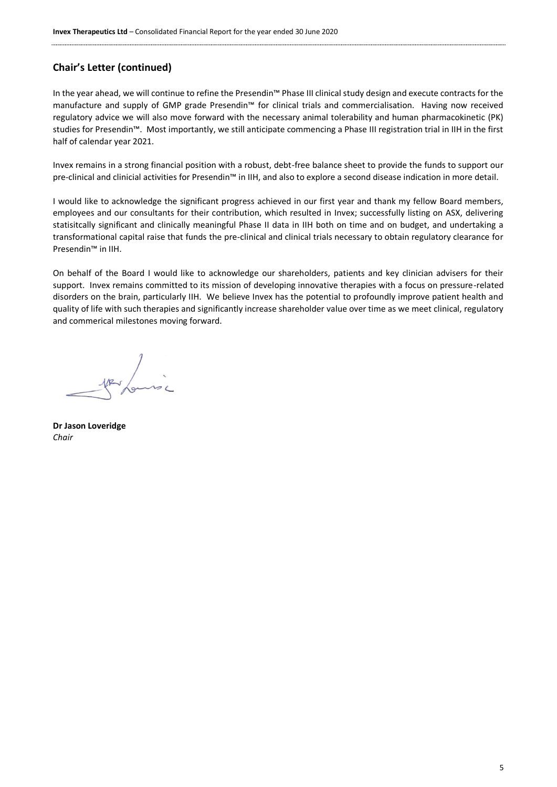# **Chair's Letter (continued)**

In the year ahead, we will continue to refine the Presendin™ Phase III clinical study design and execute contracts for the manufacture and supply of GMP grade Presendin™ for clinical trials and commercialisation. Having now received regulatory advice we will also move forward with the necessary animal tolerability and human pharmacokinetic (PK) studies for Presendin™. Most importantly, we still anticipate commencing a Phase III registration trial in IIH in the first half of calendar year 2021.

Invex remains in a strong financial position with a robust, debt-free balance sheet to provide the funds to support our pre-clinical and clinicial activities for Presendin™ in IIH, and also to explore a second disease indication in more detail.

I would like to acknowledge the significant progress achieved in our first year and thank my fellow Board members, employees and our consultants for their contribution, which resulted in Invex; successfully listing on ASX, delivering statisitcally significant and clinically meaningful Phase II data in IIH both on time and on budget, and undertaking a transformational capital raise that funds the pre-clinical and clinical trials necessary to obtain regulatory clearance for Presendin™ in IIH.

On behalf of the Board I would like to acknowledge our shareholders, patients and key clinician advisers for their support. Invex remains committed to its mission of developing innovative therapies with a focus on pressure-related disorders on the brain, particularly IIH. We believe Invex has the potential to profoundly improve patient health and quality of life with such therapies and significantly increase shareholder value over time as we meet clinical, regulatory and commerical milestones moving forward.

par formé

**Dr Jason Loveridge** *Chair*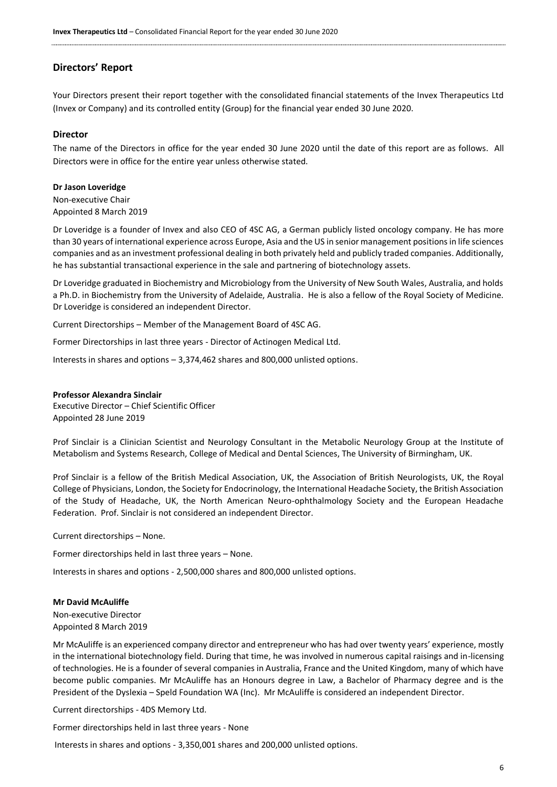# **Directors' Report**

Your Directors present their report together with the consolidated financial statements of the Invex Therapeutics Ltd (Invex or Company) and its controlled entity (Group) for the financial year ended 30 June 2020.

#### **Director**

The name of the Directors in office for the year ended 30 June 2020 until the date of this report are as follows. All Directors were in office for the entire year unless otherwise stated.

#### **Dr Jason Loveridge**

Non-executive Chair Appointed 8 March 2019

Dr Loveridge is a founder of Invex and also CEO of 4SC AG, a German publicly listed oncology company. He has more than 30 years of international experience across Europe, Asia and the US in senior management positions in life sciences companies and as an investment professional dealing in both privately held and publicly traded companies. Additionally, he has substantial transactional experience in the sale and partnering of biotechnology assets.

Dr Loveridge graduated in Biochemistry and Microbiology from the University of New South Wales, Australia, and holds a Ph.D. in Biochemistry from the University of Adelaide, Australia. He is also a fellow of the Royal Society of Medicine. Dr Loveridge is considered an independent Director.

Current Directorships – Member of the Management Board of 4SC AG.

Former Directorships in last three years - Director of Actinogen Medical Ltd.

Interests in shares and options – 3,374,462 shares and 800,000 unlisted options.

#### **Professor Alexandra Sinclair**

Executive Director – Chief Scientific Officer Appointed 28 June 2019

Prof Sinclair is a Clinician Scientist and Neurology Consultant in the Metabolic Neurology Group at the Institute of Metabolism and Systems Research, College of Medical and Dental Sciences, The University of Birmingham, UK.

Prof Sinclair is a fellow of the British Medical Association, UK, the Association of British Neurologists, UK, the Royal College of Physicians, London, the Society for Endocrinology, the International Headache Society, the British Association of the Study of Headache, UK, the North American Neuro-ophthalmology Society and the European Headache Federation. Prof. Sinclair is not considered an independent Director.

Current directorships – None.

Former directorships held in last three years – None.

Interests in shares and options - 2,500,000 shares and 800,000 unlisted options.

#### **Mr David McAuliffe**

Non-executive Director Appointed 8 March 2019

Mr McAuliffe is an experienced company director and entrepreneur who has had over twenty years' experience, mostly in the international biotechnology field. During that time, he was involved in numerous capital raisings and in-licensing of technologies. He is a founder of several companies in Australia, France and the United Kingdom, many of which have become public companies. Mr McAuliffe has an Honours degree in Law, a Bachelor of Pharmacy degree and is the President of the Dyslexia – Speld Foundation WA (Inc). Mr McAuliffe is considered an independent Director.

Current directorships - 4DS Memory Ltd.

Former directorships held in last three years - None

Interests in shares and options - 3,350,001 shares and 200,000 unlisted options.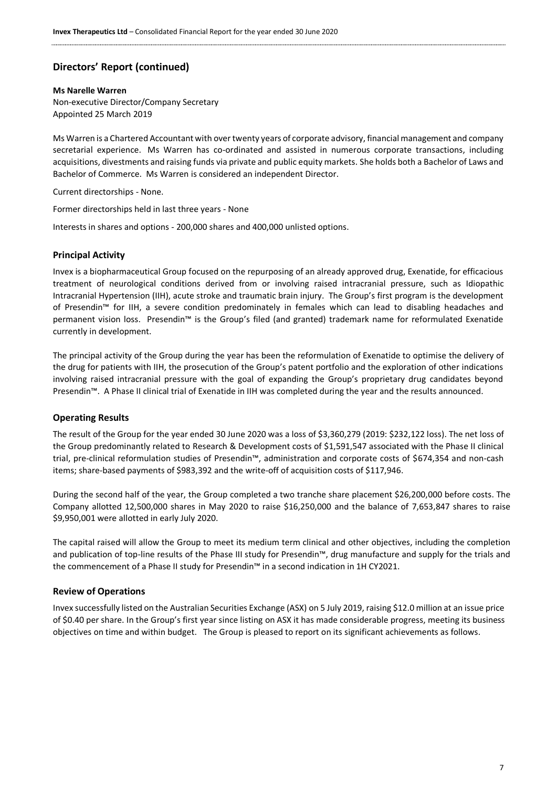#### **Ms Narelle Warren**

Non-executive Director/Company Secretary Appointed 25 March 2019

Ms Warren is a Chartered Accountant with over twenty years of corporate advisory, financial management and company secretarial experience. Ms Warren has co-ordinated and assisted in numerous corporate transactions, including acquisitions, divestments and raising funds via private and public equity markets. She holds both a Bachelor of Laws and Bachelor of Commerce. Ms Warren is considered an independent Director.

Current directorships - None.

Former directorships held in last three years - None

Interests in shares and options - 200,000 shares and 400,000 unlisted options.

# **Principal Activity**

Invex is a biopharmaceutical Group focused on the repurposing of an already approved drug, Exenatide, for efficacious treatment of neurological conditions derived from or involving raised intracranial pressure, such as Idiopathic Intracranial Hypertension (IIH), acute stroke and traumatic brain injury. The Group's first program is the development of Presendin™ for IIH, a severe condition predominately in females which can lead to disabling headaches and permanent vision loss. Presendin™ is the Group's filed (and granted) trademark name for reformulated Exenatide currently in development.

The principal activity of the Group during the year has been the reformulation of Exenatide to optimise the delivery of the drug for patients with IIH, the prosecution of the Group's patent portfolio and the exploration of other indications involving raised intracranial pressure with the goal of expanding the Group's proprietary drug candidates beyond Presendin™. A Phase II clinical trial of Exenatide in IIH was completed during the year and the results announced.

#### **Operating Results**

The result of the Group for the year ended 30 June 2020 was a loss of \$3,360,279 (2019: \$232,122 loss). The net loss of the Group predominantly related to Research & Development costs of \$1,591,547 associated with the Phase II clinical trial, pre-clinical reformulation studies of Presendin™, administration and corporate costs of \$674,354 and non-cash items; share-based payments of \$983,392 and the write-off of acquisition costs of \$117,946.

During the second half of the year, the Group completed a two tranche share placement \$26,200,000 before costs. The Company allotted 12,500,000 shares in May 2020 to raise \$16,250,000 and the balance of 7,653,847 shares to raise \$9,950,001 were allotted in early July 2020.

The capital raised will allow the Group to meet its medium term clinical and other objectives, including the completion and publication of top-line results of the Phase III study for Presendin™, drug manufacture and supply for the trials and the commencement of a Phase II study for Presendin™ in a second indication in 1H CY2021.

#### **Review of Operations**

Invex successfully listed on the Australian Securities Exchange (ASX) on 5 July 2019, raising \$12.0 million at an issue price of \$0.40 per share. In the Group's first year since listing on ASX it has made considerable progress, meeting its business objectives on time and within budget. The Group is pleased to report on its significant achievements as follows.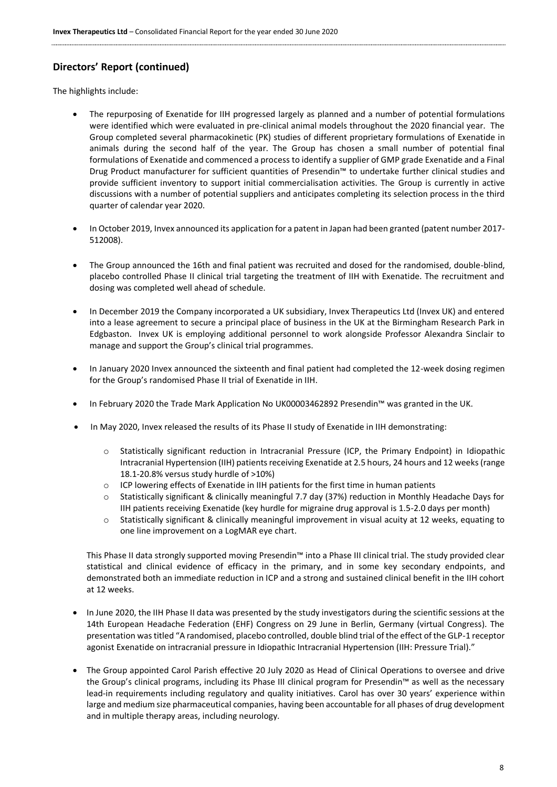The highlights include:

- The repurposing of Exenatide for IIH progressed largely as planned and a number of potential formulations were identified which were evaluated in pre-clinical animal models throughout the 2020 financial year. The Group completed several pharmacokinetic (PK) studies of different proprietary formulations of Exenatide in animals during the second half of the year. The Group has chosen a small number of potential final formulations of Exenatide and commenced a process to identify a supplier of GMP grade Exenatide and a Final Drug Product manufacturer for sufficient quantities of Presendin™ to undertake further clinical studies and provide sufficient inventory to support initial commercialisation activities. The Group is currently in active discussions with a number of potential suppliers and anticipates completing its selection process in the third quarter of calendar year 2020.
- In October 2019, Invex announced its application for a patent in Japan had been granted (patent number 2017- 512008).
- The Group announced the 16th and final patient was recruited and dosed for the randomised, double-blind, placebo controlled Phase II clinical trial targeting the treatment of IIH with Exenatide. The recruitment and dosing was completed well ahead of schedule.
- In December 2019 the Company incorporated a UK subsidiary, Invex Therapeutics Ltd (Invex UK) and entered into a lease agreement to secure a principal place of business in the UK at the Birmingham Research Park in Edgbaston. Invex UK is employing additional personnel to work alongside Professor Alexandra Sinclair to manage and support the Group's clinical trial programmes.
- In January 2020 Invex announced the sixteenth and final patient had completed the 12-week dosing regimen for the Group's randomised Phase II trial of Exenatide in IIH.
- In February 2020 the Trade Mark Application No UK00003462892 Presendin™ was granted in the UK.
- In May 2020, Invex released the results of its Phase II study of Exenatide in IIH demonstrating:
	- o Statistically significant reduction in Intracranial Pressure (ICP, the Primary Endpoint) in Idiopathic Intracranial Hypertension (IIH) patients receiving Exenatide at 2.5 hours, 24 hours and 12 weeks (range 18.1-20.8% versus study hurdle of >10%)
	- o ICP lowering effects of Exenatide in IIH patients for the first time in human patients
	- Statistically significant & clinically meaningful 7.7 day (37%) reduction in Monthly Headache Days for IIH patients receiving Exenatide (key hurdle for migraine drug approval is 1.5-2.0 days per month)
	- o Statistically significant & clinically meaningful improvement in visual acuity at 12 weeks, equating to one line improvement on a LogMAR eye chart.

This Phase II data strongly supported moving Presendin™ into a Phase III clinical trial. The study provided clear statistical and clinical evidence of efficacy in the primary, and in some key secondary endpoints, and demonstrated both an immediate reduction in ICP and a strong and sustained clinical benefit in the IIH cohort at 12 weeks.

- In June 2020, the IIH Phase II data was presented by the study investigators during the scientific sessions at the 14th European Headache Federation (EHF) Congress on 29 June in Berlin, Germany (virtual Congress). The presentation was titled "A randomised, placebo controlled, double blind trial of the effect of the GLP-1 receptor agonist Exenatide on intracranial pressure in Idiopathic Intracranial Hypertension (IIH: Pressure Trial)."
- The Group appointed Carol Parish effective 20 July 2020 as Head of Clinical Operations to oversee and drive the Group's clinical programs, including its Phase III clinical program for Presendin™ as well as the necessary lead-in requirements including regulatory and quality initiatives. Carol has over 30 years' experience within large and medium size pharmaceutical companies, having been accountable for all phases of drug development and in multiple therapy areas, including neurology.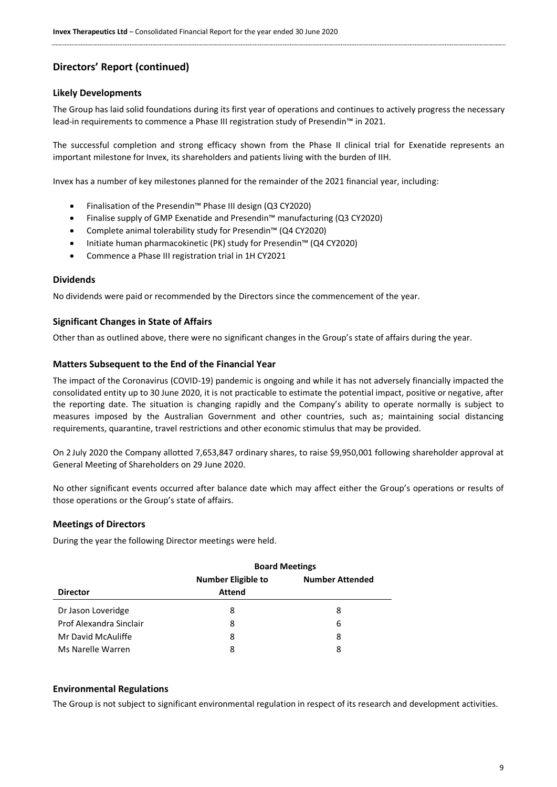#### **Likely Developments**

The Group has laid solid foundations during its first year of operations and continues to actively progress the necessary lead-in requirements to commence a Phase III registration study of Presendin™ in 2021.

The successful completion and strong efficacy shown from the Phase II clinical trial for Exenatide represents an important milestone for Invex, its shareholders and patients living with the burden of IIH.

Invex has a number of key milestones planned for the remainder of the 2021 financial year, including:

- Finalisation of the Presendin™ Phase III design (Q3 CY2020)
- Finalise supply of GMP Exenatide and Presendin™ manufacturing (Q3 CY2020)
- Complete animal tolerability study for Presendin™ (Q4 CY2020)
- Initiate human pharmacokinetic (PK) study for Presendin™ (Q4 CY2020)
- Commence a Phase III registration trial in 1H CY2021

#### **Dividends**

No dividends were paid or recommended by the Directors since the commencement of the year.

#### **Significant Changes in State of Affairs**

Other than as outlined above, there were no significant changes in the Group's state of affairs during the year.

#### **Matters Subsequent to the End of the Financial Year**

The impact of the Coronavirus (COVID-19) pandemic is ongoing and while it has not adversely financially impacted the consolidated entity up to 30 June 2020, it is not practicable to estimate the potential impact, positive or negative, after the reporting date. The situation is changing rapidly and the Company's ability to operate normally is subject to measures imposed by the Australian Government and other countries, such as; maintaining social distancing requirements, quarantine, travel restrictions and other economic stimulus that may be provided.

On 2 July 2020 the Company allotted 7,653,847 ordinary shares, to raise \$9,950,001 following shareholder approval at General Meeting of Shareholders on 29 June 2020.

No other significant events occurred after balance date which may affect either the Group's operations or results of those operations or the Group's state of affairs.

#### **Meetings of Directors**

During the year the following Director meetings were held.

|                         |                           | <b>Board Meetings</b>  |  |  |  |
|-------------------------|---------------------------|------------------------|--|--|--|
|                         | <b>Number Eligible to</b> | <b>Number Attended</b> |  |  |  |
| <b>Director</b>         | <b>Attend</b>             |                        |  |  |  |
| Dr Jason Loveridge      | 8                         | 8                      |  |  |  |
| Prof Alexandra Sinclair | 8                         | 6                      |  |  |  |
| Mr David McAuliffe      | 8                         | 8                      |  |  |  |
| Ms Narelle Warren       | 8                         | 8                      |  |  |  |

#### **Environmental Regulations**

The Group is not subject to significant environmental regulation in respect of its research and development activities.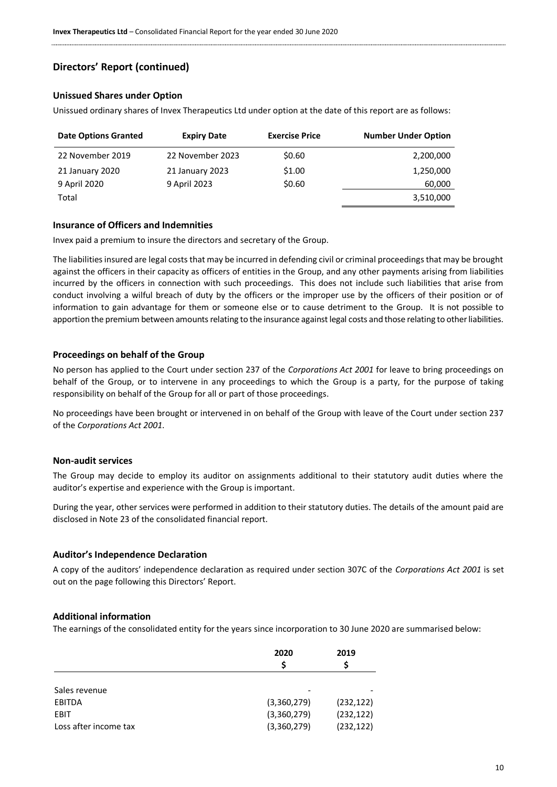# **Unissued Shares under Option**

Unissued ordinary shares of Invex Therapeutics Ltd under option at the date of this report are as follows:

| <b>Date Options Granted</b> | <b>Expiry Date</b> | <b>Exercise Price</b> | <b>Number Under Option</b> |
|-----------------------------|--------------------|-----------------------|----------------------------|
| 22 November 2019            | 22 November 2023   | \$0.60                | 2,200,000                  |
| 21 January 2020             | 21 January 2023    | \$1.00                | 1,250,000                  |
| 9 April 2020                | 9 April 2023       | \$0.60                | 60,000                     |
| Total                       |                    |                       | 3,510,000                  |

# **Insurance of Officers and Indemnities**

Invex paid a premium to insure the directors and secretary of the Group.

The liabilities insured are legal costs that may be incurred in defending civil or criminal proceedings that may be brought against the officers in their capacity as officers of entities in the Group, and any other payments arising from liabilities incurred by the officers in connection with such proceedings. This does not include such liabilities that arise from conduct involving a wilful breach of duty by the officers or the improper use by the officers of their position or of information to gain advantage for them or someone else or to cause detriment to the Group. It is not possible to apportion the premium between amounts relating to the insurance against legal costs and those relating to other liabilities.

### **Proceedings on behalf of the Group**

No person has applied to the Court under section 237 of the *Corporations Act 2001* for leave to bring proceedings on behalf of the Group, or to intervene in any proceedings to which the Group is a party, for the purpose of taking responsibility on behalf of the Group for all or part of those proceedings.

No proceedings have been brought or intervened in on behalf of the Group with leave of the Court under section 237 of the *Corporations Act 2001*.

#### **Non-audit services**

The Group may decide to employ its auditor on assignments additional to their statutory audit duties where the auditor's expertise and experience with the Group is important.

During the year, other services were performed in addition to their statutory duties. The details of the amount paid are disclosed in Note 23 of the consolidated financial report.

#### **Auditor's Independence Declaration**

A copy of the auditors' independence declaration as required under section 307C of the *Corporations Act 2001* is set out on the page following this Directors' Report.

#### **Additional information**

The earnings of the consolidated entity for the years since incorporation to 30 June 2020 are summarised below:

|                       | 2020        | 2019       |
|-----------------------|-------------|------------|
|                       |             |            |
|                       |             |            |
| Sales revenue         |             |            |
| <b>EBITDA</b>         | (3,360,279) | (232, 122) |
| EBIT                  | (3,360,279) | (232, 122) |
| Loss after income tax | (3,360,279) | (232, 122) |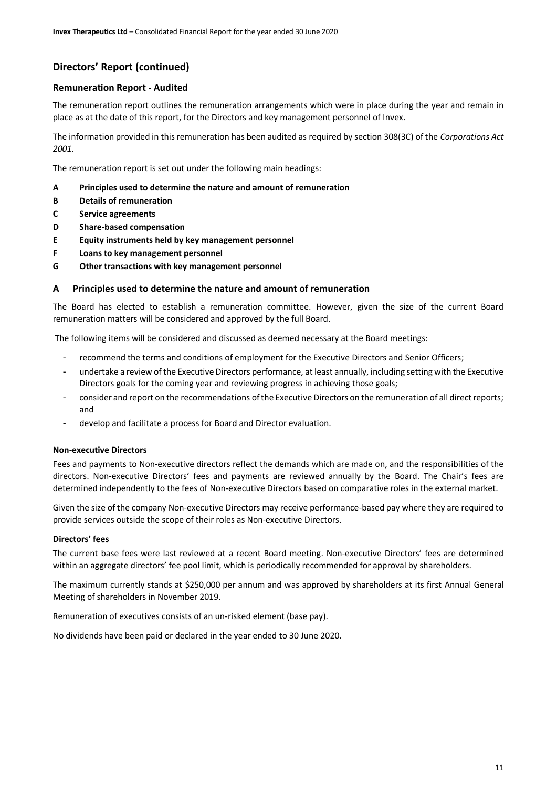#### **Remuneration Report - Audited**

The remuneration report outlines the remuneration arrangements which were in place during the year and remain in place as at the date of this report, for the Directors and key management personnel of Invex.

The information provided in this remuneration has been audited as required by section 308(3C) of the *Corporations Act 2001*.

The remuneration report is set out under the following main headings:

- **A Principles used to determine the nature and amount of remuneration**
- **B Details of remuneration**
- **C Service agreements**
- **D Share-based compensation**
- **E Equity instruments held by key management personnel**
- **F Loans to key management personnel**
- **G Other transactions with key management personnel**

#### **A Principles used to determine the nature and amount of remuneration**

The Board has elected to establish a remuneration committee. However, given the size of the current Board remuneration matters will be considered and approved by the full Board.

The following items will be considered and discussed as deemed necessary at the Board meetings:

- recommend the terms and conditions of employment for the Executive Directors and Senior Officers;
- undertake a review of the Executive Directors performance, at least annually, including setting with the Executive Directors goals for the coming year and reviewing progress in achieving those goals;
- consider and report on the recommendations of the Executive Directors on the remuneration of all direct reports; and
- develop and facilitate a process for Board and Director evaluation.

#### **Non-executive Directors**

Fees and payments to Non-executive directors reflect the demands which are made on, and the responsibilities of the directors. Non-executive Directors' fees and payments are reviewed annually by the Board. The Chair's fees are determined independently to the fees of Non-executive Directors based on comparative roles in the external market.

Given the size of the company Non-executive Directors may receive performance-based pay where they are required to provide services outside the scope of their roles as Non-executive Directors.

#### **Directors' fees**

The current base fees were last reviewed at a recent Board meeting. Non-executive Directors' fees are determined within an aggregate directors' fee pool limit, which is periodically recommended for approval by shareholders.

The maximum currently stands at \$250,000 per annum and was approved by shareholders at its first Annual General Meeting of shareholders in November 2019.

Remuneration of executives consists of an un-risked element (base pay).

No dividends have been paid or declared in the year ended to 30 June 2020.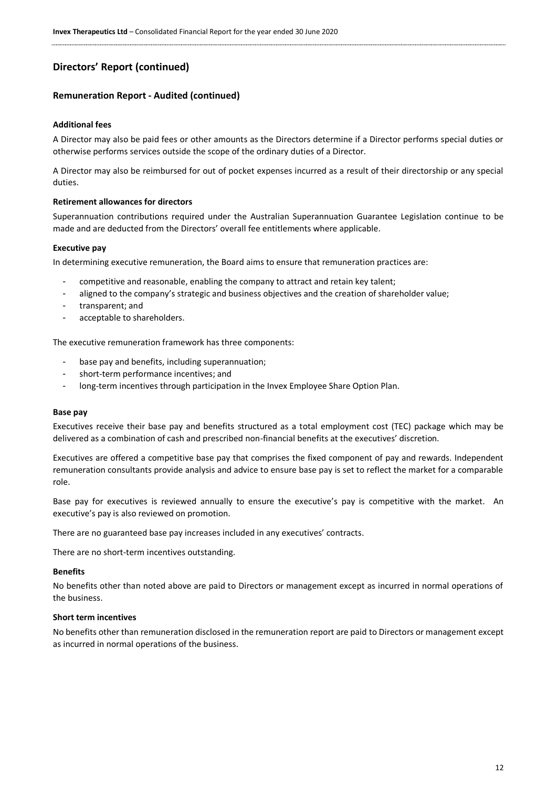# **Remuneration Report - Audited (continued)**

#### **Additional fees**

A Director may also be paid fees or other amounts as the Directors determine if a Director performs special duties or otherwise performs services outside the scope of the ordinary duties of a Director.

A Director may also be reimbursed for out of pocket expenses incurred as a result of their directorship or any special duties.

#### **Retirement allowances for directors**

Superannuation contributions required under the Australian Superannuation Guarantee Legislation continue to be made and are deducted from the Directors' overall fee entitlements where applicable.

#### **Executive pay**

In determining executive remuneration, the Board aims to ensure that remuneration practices are:

- competitive and reasonable, enabling the company to attract and retain key talent;
- aligned to the company's strategic and business objectives and the creation of shareholder value;
- transparent; and
- acceptable to shareholders.

The executive remuneration framework has three components:

- base pay and benefits, including superannuation;
- short-term performance incentives; and
- long-term incentives through participation in the Invex Employee Share Option Plan.

#### **Base pay**

Executives receive their base pay and benefits structured as a total employment cost (TEC) package which may be delivered as a combination of cash and prescribed non-financial benefits at the executives' discretion.

Executives are offered a competitive base pay that comprises the fixed component of pay and rewards. Independent remuneration consultants provide analysis and advice to ensure base pay is set to reflect the market for a comparable role.

Base pay for executives is reviewed annually to ensure the executive's pay is competitive with the market. An executive's pay is also reviewed on promotion.

There are no guaranteed base pay increases included in any executives' contracts.

There are no short-term incentives outstanding.

#### **Benefits**

No benefits other than noted above are paid to Directors or management except as incurred in normal operations of the business.

#### **Short term incentives**

No benefits other than remuneration disclosed in the remuneration report are paid to Directors or management except as incurred in normal operations of the business.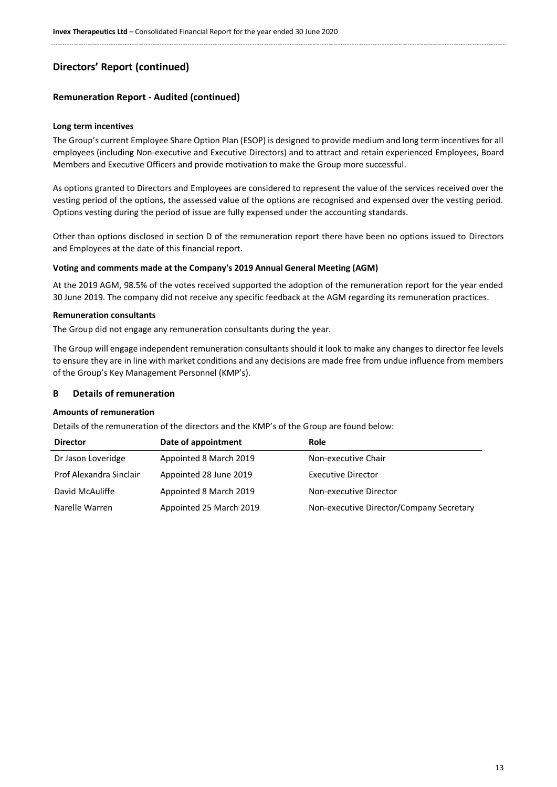# **Remuneration Report - Audited (continued)**

#### **Long term incentives**

The Group's current Employee Share Option Plan (ESOP) is designed to provide medium and long term incentives for all employees (including Non-executive and Executive Directors) and to attract and retain experienced Employees, Board Members and Executive Officers and provide motivation to make the Group more successful.

As options granted to Directors and Employees are considered to represent the value of the services received over the vesting period of the options, the assessed value of the options are recognised and expensed over the vesting period. Options vesting during the period of issue are fully expensed under the accounting standards.

Other than options disclosed in section D of the remuneration report there have been no options issued to Directors and Employees at the date of this financial report.

#### **Voting and comments made at the Company's 2019 Annual General Meeting (AGM)**

At the 2019 AGM, 98.5% of the votes received supported the adoption of the remuneration report for the year ended 30 June 2019. The company did not receive any specific feedback at the AGM regarding its remuneration practices.

#### **Remuneration consultants**

The Group did not engage any remuneration consultants during the year.

The Group will engage independent remuneration consultants should it look to make any changes to director fee levels to ensure they are in line with market conditions and any decisions are made free from undue influence from members of the Group's Key Management Personnel (KMP's).

#### **B Details of remuneration**

#### **Amounts of remuneration**

Details of the remuneration of the directors and the KMP's of the Group are found below:

| <b>Director</b>         | Date of appointment     | <b>Role</b>                              |
|-------------------------|-------------------------|------------------------------------------|
| Dr Jason Loveridge      | Appointed 8 March 2019  | Non-executive Chair                      |
| Prof Alexandra Sinclair | Appointed 28 June 2019  | <b>Executive Director</b>                |
| David McAuliffe         | Appointed 8 March 2019  | Non-executive Director                   |
| Narelle Warren          | Appointed 25 March 2019 | Non-executive Director/Company Secretary |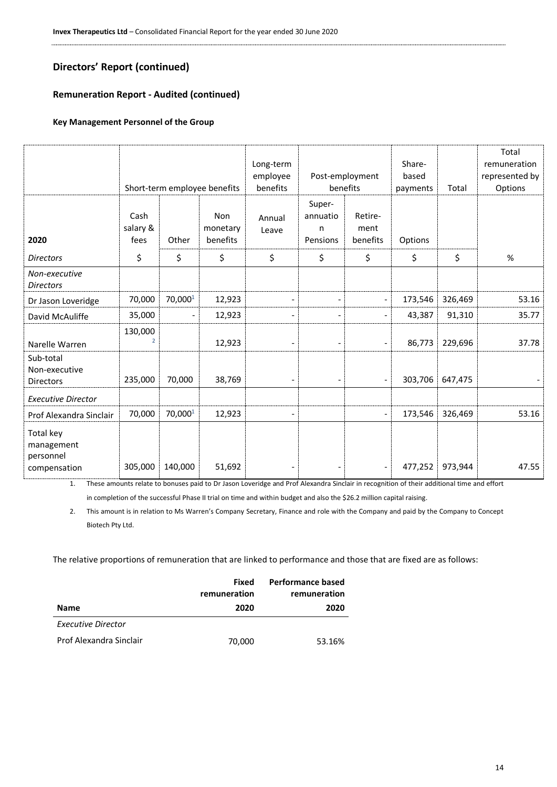# **Remuneration Report - Audited (continued)**

# **Key Management Personnel of the Group**

|                                                      |                           |                | Short-term employee benefits       | Long-term<br>employee<br>benefits |                                     | Post-employment<br>benefits | Share-<br>based<br>payments | Total   | Total<br>remuneration<br>represented by<br>Options |
|------------------------------------------------------|---------------------------|----------------|------------------------------------|-----------------------------------|-------------------------------------|-----------------------------|-----------------------------|---------|----------------------------------------------------|
| 2020                                                 | Cash<br>salary &<br>fees  | Other          | <b>Non</b><br>monetary<br>benefits | Annual<br>Leave                   | Super-<br>annuatio<br>n<br>Pensions | Retire-<br>ment<br>benefits | Options                     |         |                                                    |
| <b>Directors</b>                                     | \$                        | \$             | \$                                 | \$                                | \$                                  | \$                          | \$                          | \$      | %                                                  |
| Non-executive<br><b>Directors</b>                    |                           |                |                                    |                                   |                                     |                             |                             |         |                                                    |
| Dr Jason Loveridge                                   | 70,000                    | 70,0001        | 12,923                             | $\overline{\phantom{a}}$          | $\overline{a}$                      | $\overline{\phantom{a}}$    | 173,546                     | 326,469 | 53.16                                              |
| David McAuliffe                                      | 35,000                    | $\blacksquare$ | 12,923                             | $\qquad \qquad \blacksquare$      | $\overline{\phantom{a}}$            | $\blacksquare$              | 43,387                      | 91,310  | 35.77                                              |
| Narelle Warren                                       | 130,000<br>$\overline{2}$ |                | 12,923                             | $\qquad \qquad \blacksquare$      | $\overline{\phantom{a}}$            | ٠                           | 86,773                      | 229,696 | 37.78                                              |
| Sub-total<br>Non-executive<br>Directors              | 235,000                   | 70,000         | 38,769                             |                                   |                                     | $\overline{\phantom{a}}$    | 303,706                     | 647,475 |                                                    |
| <b>Executive Director</b>                            |                           |                |                                    |                                   |                                     |                             |                             |         |                                                    |
| Prof Alexandra Sinclair                              | 70,000                    | 70,0001        | 12,923                             | $\overline{\phantom{a}}$          |                                     | $\overline{\phantom{a}}$    | 173,546                     | 326,469 | 53.16                                              |
| Total key<br>management<br>personnel<br>compensation | 305,000                   | 140,000        | 51,692                             |                                   | -                                   | $\overline{\phantom{a}}$    | 477,252                     | 973,944 | 47.55                                              |

1. These amounts relate to bonuses paid to Dr Jason Loveridge and Prof Alexandra Sinclair in recognition of their additional time and effort in completion of the successful Phase II trial on time and within budget and also the \$26.2 million capital raising.

2. This amount is in relation to Ms Warren's Company Secretary, Finance and role with the Company and paid by the Company to Concept Biotech Pty Ltd.

The relative proportions of remuneration that are linked to performance and those that are fixed are as follows:

|                         | Fixed<br>remuneration | <b>Performance based</b><br>remuneration |
|-------------------------|-----------------------|------------------------------------------|
| <b>Name</b>             | 2020                  | 2020                                     |
| Executive Director      |                       |                                          |
| Prof Alexandra Sinclair | 70,000                | 53.16%                                   |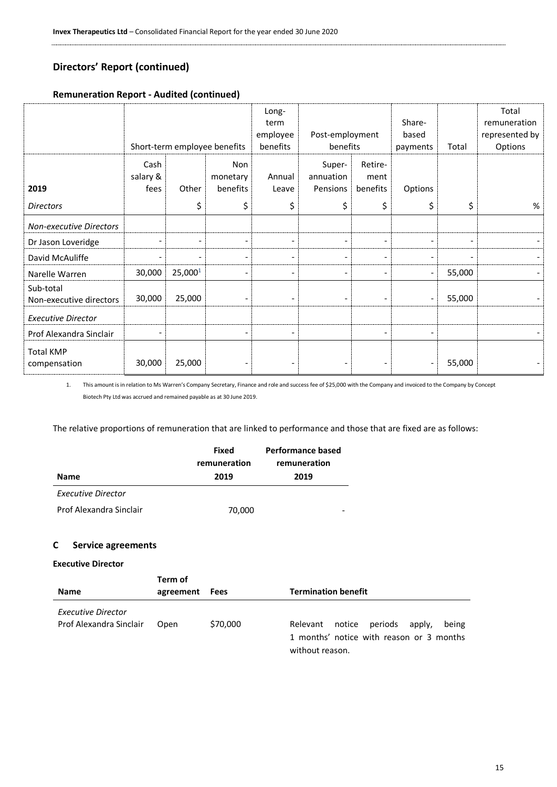# **Remuneration Report - Audited (continued)**

|                                      | Short-term employee benefits |                          |                                    | Long-<br>term<br>employee<br>benefits | Post-employment<br>benefits     |                             | Share-<br>based<br>payments  | Total  | Total<br>remuneration<br>represented by<br>Options |
|--------------------------------------|------------------------------|--------------------------|------------------------------------|---------------------------------------|---------------------------------|-----------------------------|------------------------------|--------|----------------------------------------------------|
| 2019                                 | Cash<br>salary &<br>fees     | Other                    | <b>Non</b><br>monetary<br>benefits | Annual<br>Leave                       | Super-<br>annuation<br>Pensions | Retire-<br>ment<br>benefits | Options                      |        |                                                    |
| <b>Directors</b>                     |                              | \$                       | \$                                 | \$                                    | \$                              | \$                          | \$                           | \$     | $\%$                                               |
| <b>Non-executive Directors</b>       |                              |                          |                                    |                                       |                                 |                             |                              |        |                                                    |
| Dr Jason Loveridge                   |                              | $\overline{\phantom{a}}$ |                                    |                                       | $\qquad \qquad \blacksquare$    | $\overline{\phantom{0}}$    |                              |        |                                                    |
| David McAuliffe                      |                              | $\overline{\phantom{a}}$ | $\overline{\phantom{a}}$           |                                       | $\overline{\phantom{a}}$        | $\overline{\phantom{a}}$    | $\qquad \qquad \blacksquare$ |        |                                                    |
| Narelle Warren                       | 30,000                       | 25,000 <sup>1</sup>      |                                    |                                       | $\overline{\phantom{a}}$        | $\overline{\phantom{a}}$    |                              | 55,000 |                                                    |
| Sub-total<br>Non-executive directors | 30,000                       | 25,000                   |                                    |                                       | $\overline{\phantom{a}}$        | $\overline{\phantom{a}}$    | $\overline{\phantom{a}}$     | 55,000 |                                                    |
| <b>Executive Director</b>            |                              |                          |                                    |                                       |                                 |                             |                              |        |                                                    |
| Prof Alexandra Sinclair              |                              |                          |                                    |                                       |                                 | $\overline{\phantom{0}}$    | $\overline{\phantom{a}}$     |        |                                                    |
| <b>Total KMP</b><br>compensation     | 30,000                       | 25,000                   |                                    |                                       | $\overline{\phantom{a}}$        | $\overline{\phantom{a}}$    | $\overline{\phantom{a}}$     | 55,000 |                                                    |

1. This amount is in relation to Ms Warren's Company Secretary, Finance and role and success fee of \$25,000 with the Company and invoiced to the Company by Concept Biotech Pty Ltd was accrued and remained payable as at 30 June 2019.

The relative proportions of remuneration that are linked to performance and those that are fixed are as follows:

|                         | Fixed<br>remuneration | Performance based<br>remuneration |
|-------------------------|-----------------------|-----------------------------------|
| <b>Name</b>             | 2019                  | 2019                              |
| Executive Director      |                       |                                   |
| Prof Alexandra Sinclair | 70,000                |                                   |

#### **C Service agreements**

#### **Executive Director**

| <b>Name</b>                                   | Term of<br>agreement Fees | <b>Termination benefit</b> |                                                                                                              |  |  |
|-----------------------------------------------|---------------------------|----------------------------|--------------------------------------------------------------------------------------------------------------|--|--|
| Executive Director<br>Prof Alexandra Sinclair | Open                      | \$70,000                   | periods apply,<br>notice<br>being<br>Relevant<br>1 months' notice with reason or 3 months<br>without reason. |  |  |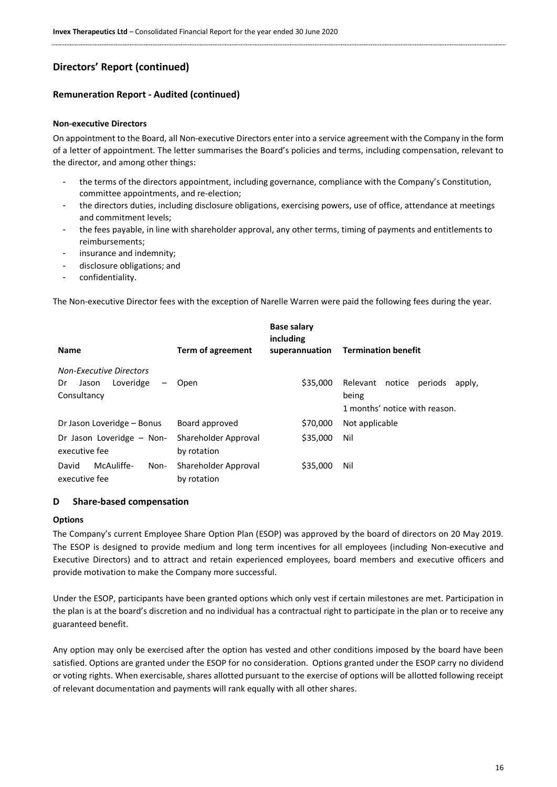### **Remuneration Report - Audited (continued)**

#### **Non-executive Directors**

On appointment to the Board, all Non-executive Directors enter into a service agreement with the Company in the form of a letter of appointment. The letter summarises the Board's policies and terms, including compensation, relevant to the director, and among other things:

- the terms of the directors appointment, including governance, compliance with the Company's Constitution, committee appointments, and re-election;
- the directors duties, including disclosure obligations, exercising powers, use of office, attendance at meetings and commitment levels;
- the fees payable, in line with shareholder approval, any other terms, timing of payments and entitlements to reimbursements;
- insurance and indemnity;
- disclosure obligations; and
- confidentiality.

The Non-executive Director fees with the exception of Narelle Warren were paid the following fees during the year.

| <b>Name</b>                                                               | Term of agreement                   | <b>Base salary</b><br>including<br>superannuation | <b>Termination benefit</b>                                                     |
|---------------------------------------------------------------------------|-------------------------------------|---------------------------------------------------|--------------------------------------------------------------------------------|
| <b>Non-Executive Directors</b><br>Loveridge<br>Dr<br>Jason<br>Consultancy | Open                                | \$35,000                                          | Relevant notice<br>periods<br>apply,<br>being<br>1 months' notice with reason. |
| Dr Jason Loveridge – Bonus                                                | Board approved                      | \$70,000                                          | Not applicable                                                                 |
| Dr Jason Loveridge - Non-<br>executive fee                                | Shareholder Approval<br>by rotation | \$35,000                                          | Nil                                                                            |
| McAuliffe-<br>David<br>Non-<br>executive fee                              | Shareholder Approval<br>by rotation | \$35,000                                          | Nil                                                                            |

#### **D Share-based compensation**

#### **Options**

The Company's current Employee Share Option Plan (ESOP) was approved by the board of directors on 20 May 2019. The ESOP is designed to provide medium and long term incentives for all employees (including Non-executive and Executive Directors) and to attract and retain experienced employees, board members and executive officers and provide motivation to make the Company more successful.

Under the ESOP, participants have been granted options which only vest if certain milestones are met. Participation in the plan is at the board's discretion and no individual has a contractual right to participate in the plan or to receive any guaranteed benefit.

Any option may only be exercised after the option has vested and other conditions imposed by the board have been satisfied. Options are granted under the ESOP for no consideration. Options granted under the ESOP carry no dividend or voting rights. When exercisable, shares allotted pursuant to the exercise of options will be allotted following receipt of relevant documentation and payments will rank equally with all other shares.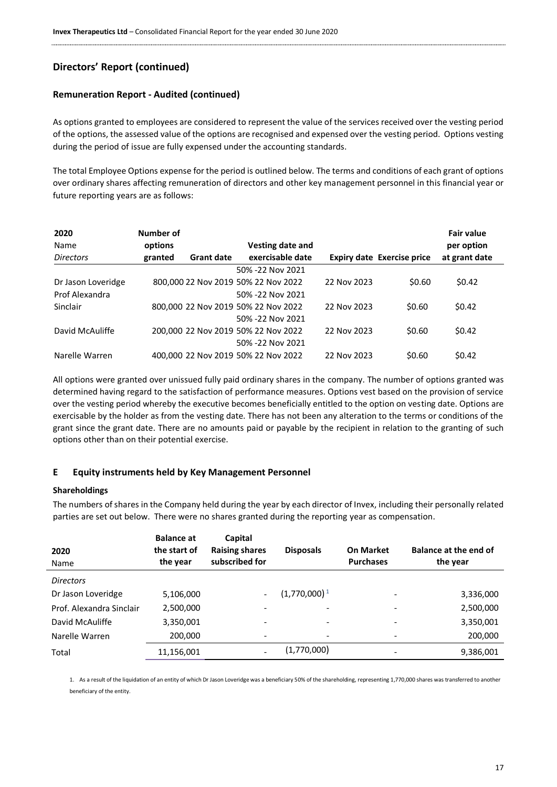#### **Remuneration Report - Audited (continued)**

As options granted to employees are considered to represent the value of the services received over the vesting period of the options, the assessed value of the options are recognised and expensed over the vesting period. Options vesting during the period of issue are fully expensed under the accounting standards.

The total Employee Options expense for the period is outlined below. The terms and conditions of each grant of options over ordinary shares affecting remuneration of directors and other key management personnel in this financial year or future reporting years are as follows:

| 2020<br>Name       | Number of<br>options |                   | Vesting date and                    |             |                                   | <b>Fair value</b><br>per option |
|--------------------|----------------------|-------------------|-------------------------------------|-------------|-----------------------------------|---------------------------------|
| <b>Directors</b>   | granted              | <b>Grant date</b> | exercisable date                    |             | <b>Expiry date Exercise price</b> | at grant date                   |
|                    |                      |                   | 50% -22 Nov 2021                    |             |                                   |                                 |
| Dr Jason Loveridge |                      |                   | 800,000 22 Nov 2019 50% 22 Nov 2022 | 22 Nov 2023 | \$0.60                            | \$0.42                          |
| Prof Alexandra     |                      |                   | 50% -22 Nov 2021                    |             |                                   |                                 |
| <b>Sinclair</b>    |                      |                   | 800,000 22 Nov 2019 50% 22 Nov 2022 | 22 Nov 2023 | \$0.60                            | \$0.42                          |
|                    |                      |                   | 50% -22 Nov 2021                    |             |                                   |                                 |
| David McAuliffe    |                      |                   | 200,000 22 Nov 2019 50% 22 Nov 2022 | 22 Nov 2023 | \$0.60                            | \$0.42                          |
|                    |                      |                   | 50% -22 Nov 2021                    |             |                                   |                                 |
| Narelle Warren     |                      |                   | 400,000 22 Nov 2019 50% 22 Nov 2022 | 22 Nov 2023 | \$0.60                            | \$0.42                          |

All options were granted over unissued fully paid ordinary shares in the company. The number of options granted was determined having regard to the satisfaction of performance measures. Options vest based on the provision of service over the vesting period whereby the executive becomes beneficially entitled to the option on vesting date. Options are exercisable by the holder as from the vesting date. There has not been any alteration to the terms or conditions of the grant since the grant date. There are no amounts paid or payable by the recipient in relation to the granting of such options other than on their potential exercise.

#### **E Equity instruments held by Key Management Personnel**

#### **Shareholdings**

The numbers of shares in the Company held during the year by each director of Invex, including their personally related parties are set out below. There were no shares granted during the reporting year as compensation.

| 2020<br>Name             | <b>Balance at</b><br>the start of<br>the year | Capital<br><b>Raising shares</b><br>subscribed for | <b>Disposals</b>         | <b>On Market</b><br><b>Purchases</b> | <b>Balance at the end of</b><br>the year |
|--------------------------|-----------------------------------------------|----------------------------------------------------|--------------------------|--------------------------------------|------------------------------------------|
| <b>Directors</b>         |                                               |                                                    |                          |                                      |                                          |
| Dr Jason Loveridge       | 5,106,000                                     |                                                    | $(1,770,000)^1$          |                                      | 3,336,000                                |
| Prof. Alexandra Sinclair | 2,500,000                                     |                                                    |                          |                                      | 2,500,000                                |
| David McAuliffe          | 3,350,001                                     |                                                    | $\overline{\phantom{a}}$ |                                      | 3,350,001                                |
| Narelle Warren           | 200,000                                       | $\qquad \qquad \blacksquare$                       | $\overline{\phantom{0}}$ |                                      | 200,000                                  |
| Total                    | 11,156,001                                    |                                                    | (1,770,000)              |                                      | 9,386,001                                |

1. As a result of the liquidation of an entity of which Dr Jason Loveridge was a beneficiary 50% of the shareholding, representing 1,770,000 shares was transferred to another beneficiary of the entity.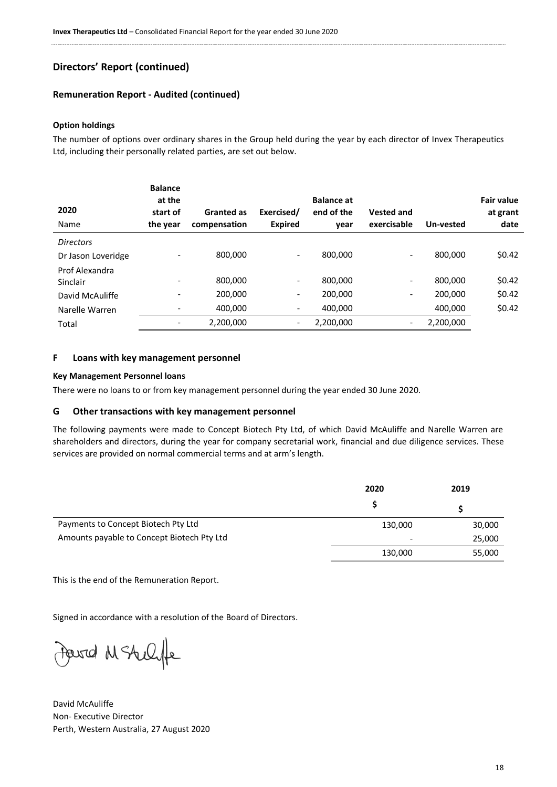#### **Remuneration Report - Audited (continued)**

#### **Option holdings**

The number of options over ordinary shares in the Group held during the year by each director of Invex Therapeutics Ltd, including their personally related parties, are set out below.

| 2020               | <b>Balance</b><br>at the<br>start of | <b>Granted as</b> | Exercised/     | <b>Balance at</b><br>end of the | <b>Vested and</b>        |           | <b>Fair value</b><br>at grant |
|--------------------|--------------------------------------|-------------------|----------------|---------------------------------|--------------------------|-----------|-------------------------------|
| Name               | the year                             | compensation      | <b>Expired</b> | year                            | exercisable              | Un-vested | date                          |
| <b>Directors</b>   |                                      |                   |                |                                 |                          |           |                               |
| Dr Jason Loveridge |                                      | 800.000           | -              | 800.000                         | $\overline{\phantom{a}}$ | 800.000   | \$0.42                        |
| Prof Alexandra     |                                      |                   |                |                                 |                          |           |                               |
| Sinclair           | -                                    | 800,000           | -              | 800,000                         | $\overline{\phantom{a}}$ | 800.000   | \$0.42                        |
| David McAuliffe    |                                      | 200,000           | -              | 200,000                         | $\overline{\phantom{a}}$ | 200.000   | \$0.42                        |
| Narelle Warren     | -                                    | 400,000           | -              | 400,000                         |                          | 400,000   | \$0.42                        |
| Total              | -                                    | 2,200,000         | -              | 2,200,000                       | $\overline{\phantom{a}}$ | 2,200,000 |                               |

#### **F Loans with key management personnel**

#### **Key Management Personnel loans**

There were no loans to or from key management personnel during the year ended 30 June 2020.

#### **G Other transactions with key management personnel**

The following payments were made to Concept Biotech Pty Ltd, of which David McAuliffe and Narelle Warren are shareholders and directors, during the year for company secretarial work, financial and due diligence services. These services are provided on normal commercial terms and at arm's length.

|                                            | 2020    | 2019   |
|--------------------------------------------|---------|--------|
|                                            |         |        |
| Payments to Concept Biotech Pty Ltd        | 130,000 | 30,000 |
| Amounts payable to Concept Biotech Pty Ltd | -       | 25,000 |
|                                            | 130,000 | 55,000 |

This is the end of the Remuneration Report.

Signed in accordance with a resolution of the Board of Directors.

Ferred M Stellife

David McAuliffe Non- Executive Director Perth, Western Australia, 27 August 2020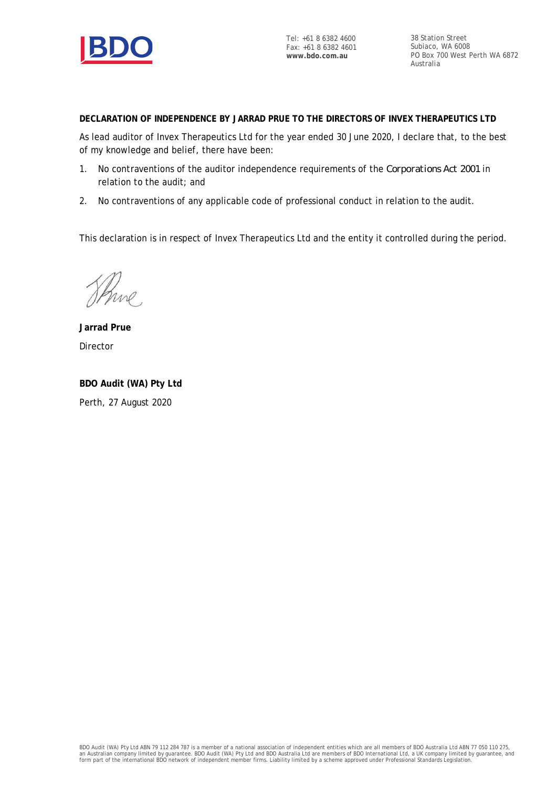

Tel: +61 8 6382 4600 Fax: +61 8 6382 4601 **www.bdo.com.au**

38 Station Street Subiaco, WA 6008 PO Box 700 West Perth WA 6872 Australia

**DECLARATION OF INDEPENDENCE BY JARRAD PRUE TO THE DIRECTORS OF INVEX THERAPEUTICS LTD**

As lead auditor of Invex Therapeutics Ltd for the year ended 30 June 2020, I declare that, to the best of my knowledge and belief, there have been:

- 1. No contraventions of the auditor independence requirements of the *Corporations Act 2001* in relation to the audit; and
- 2. No contraventions of any applicable code of professional conduct in relation to the audit.

This declaration is in respect of Invex Therapeutics Ltd and the entity it controlled during the period.

Shine,

**Jarrad Prue** Director

**BDO Audit (WA) Pty Ltd** Perth, 27 August 2020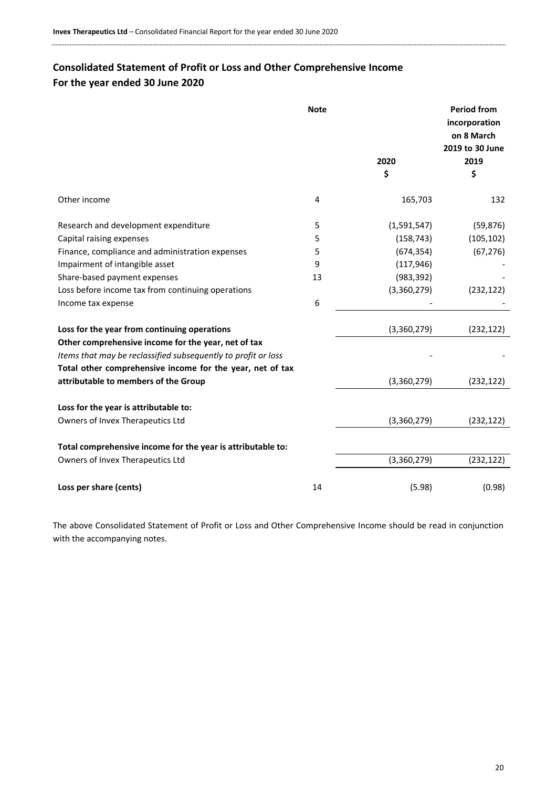# <span id="page-19-0"></span>**Consolidated Statement of Profit or Loss and Other Comprehensive Income For the year ended 30 June 2020**

|                                                               | <b>Note</b> |             | <b>Period from</b><br>incorporation<br>on 8 March<br>2019 to 30 June |
|---------------------------------------------------------------|-------------|-------------|----------------------------------------------------------------------|
|                                                               |             | 2020        | 2019                                                                 |
|                                                               |             | \$          | \$                                                                   |
| Other income                                                  | 4           | 165,703     | 132                                                                  |
| Research and development expenditure                          | 5           | (1,591,547) | (59, 876)                                                            |
| Capital raising expenses                                      | 5           | (158, 743)  | (105, 102)                                                           |
| Finance, compliance and administration expenses               | 5           | (674, 354)  | (67, 276)                                                            |
| Impairment of intangible asset                                | 9           | (117, 946)  |                                                                      |
| Share-based payment expenses                                  | 13          | (983, 392)  |                                                                      |
| Loss before income tax from continuing operations             |             | (3,360,279) | (232, 122)                                                           |
| Income tax expense                                            | 6           |             |                                                                      |
| Loss for the year from continuing operations                  |             | (3,360,279) | (232, 122)                                                           |
| Other comprehensive income for the year, net of tax           |             |             |                                                                      |
| Items that may be reclassified subsequently to profit or loss |             |             |                                                                      |
| Total other comprehensive income for the year, net of tax     |             |             |                                                                      |
| attributable to members of the Group                          |             | (3,360,279) | (232, 122)                                                           |
| Loss for the year is attributable to:                         |             |             |                                                                      |
| Owners of Invex Therapeutics Ltd                              |             | (3,360,279) | (232, 122)                                                           |
| Total comprehensive income for the year is attributable to:   |             |             |                                                                      |
| Owners of Invex Therapeutics Ltd                              |             | (3,360,279) | (232, 122)                                                           |
| Loss per share (cents)                                        | 14          | (5.98)      | (0.98)                                                               |

The above Consolidated Statement of Profit or Loss and Other Comprehensive Income should be read in conjunction with the accompanying notes.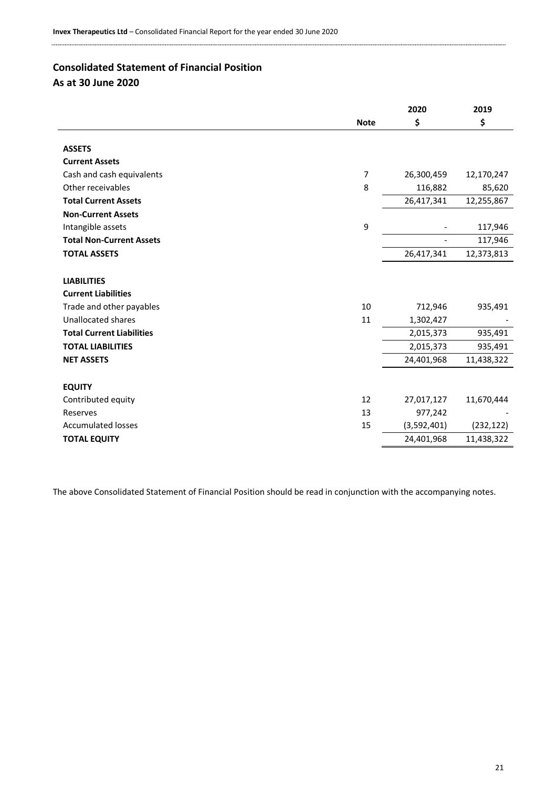# <span id="page-20-0"></span>**Consolidated Statement of Financial Position**

|                                  |                | 2020        | 2019       |
|----------------------------------|----------------|-------------|------------|
|                                  | <b>Note</b>    | \$          | \$         |
|                                  |                |             |            |
| <b>ASSETS</b>                    |                |             |            |
| <b>Current Assets</b>            |                |             |            |
| Cash and cash equivalents        | $\overline{7}$ | 26,300,459  | 12,170,247 |
| Other receivables                | 8              | 116,882     | 85,620     |
| <b>Total Current Assets</b>      |                | 26,417,341  | 12,255,867 |
| <b>Non-Current Assets</b>        |                |             |            |
| Intangible assets                | 9              |             | 117,946    |
| <b>Total Non-Current Assets</b>  |                |             | 117,946    |
| <b>TOTAL ASSETS</b>              |                | 26,417,341  | 12,373,813 |
|                                  |                |             |            |
| <b>LIABILITIES</b>               |                |             |            |
| <b>Current Liabilities</b>       |                |             |            |
| Trade and other payables         | 10             | 712,946     | 935,491    |
| <b>Unallocated shares</b>        | 11             | 1,302,427   |            |
| <b>Total Current Liabilities</b> |                | 2,015,373   | 935,491    |
| <b>TOTAL LIABILITIES</b>         |                | 2,015,373   | 935,491    |
| <b>NET ASSETS</b>                |                | 24,401,968  | 11,438,322 |
|                                  |                |             |            |
| <b>EQUITY</b>                    |                |             |            |
| Contributed equity               | 12             | 27,017,127  | 11,670,444 |
| Reserves                         | 13             | 977,242     |            |
| <b>Accumulated losses</b>        | 15             | (3,592,401) | (232, 122) |
| <b>TOTAL EQUITY</b>              |                | 24,401,968  | 11,438,322 |
|                                  |                |             |            |

The above Consolidated Statement of Financial Position should be read in conjunction with the accompanying notes.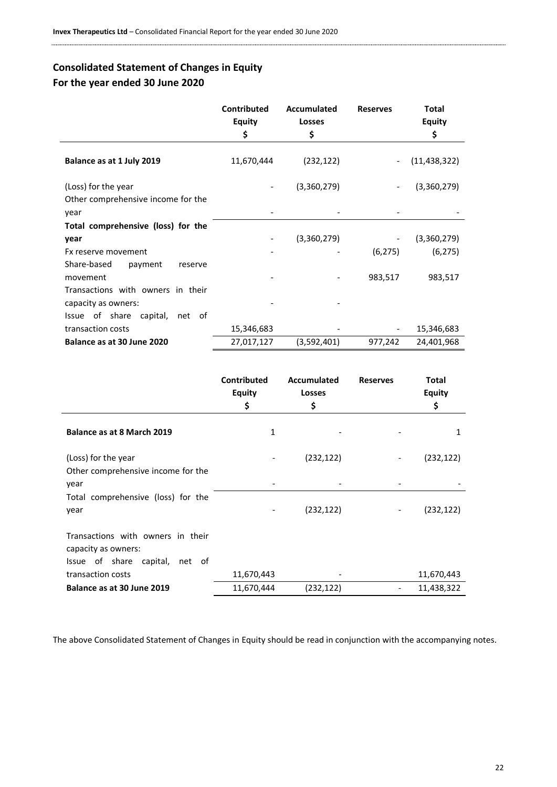# <span id="page-21-0"></span>**Consolidated Statement of Changes in Equity For the year ended 30 June 2020**

|                                                                   | <b>Contributed</b><br><b>Equity</b><br>\$ | Accumulated<br><b>Losses</b><br>\$ | <b>Reserves</b>          | <b>Total</b><br><b>Equity</b><br>\$ |
|-------------------------------------------------------------------|-------------------------------------------|------------------------------------|--------------------------|-------------------------------------|
| Balance as at 1 July 2019                                         | 11,670,444                                | (232, 122)                         |                          | (11, 438, 322)                      |
| (Loss) for the year<br>Other comprehensive income for the<br>year |                                           | (3,360,279)                        | $\overline{\phantom{a}}$ | (3,360,279)                         |
| Total comprehensive (loss) for the                                |                                           |                                    |                          |                                     |
| year                                                              |                                           | (3,360,279)                        | $\overline{\phantom{a}}$ | (3,360,279)                         |
| Fx reserve movement                                               |                                           |                                    | (6, 275)                 | (6, 275)                            |
| Share-based<br>payment<br>reserve                                 |                                           |                                    |                          |                                     |
| movement                                                          |                                           |                                    | 983,517                  | 983,517                             |
| Transactions with owners in their                                 |                                           |                                    |                          |                                     |
| capacity as owners:                                               |                                           |                                    |                          |                                     |
| Issue of share capital, net of                                    |                                           |                                    |                          |                                     |
| transaction costs                                                 | 15,346,683                                |                                    | $\overline{\phantom{a}}$ | 15,346,683                          |
| Balance as at 30 June 2020                                        | 27,017,127                                | (3,592,401)                        | 977,242                  | 24,401,968                          |

|                                                                                            | Contributed<br><b>Equity</b><br>\$ | Accumulated<br><b>Losses</b><br>\$ | <b>Reserves</b> | <b>Total</b><br><b>Equity</b><br>\$ |
|--------------------------------------------------------------------------------------------|------------------------------------|------------------------------------|-----------------|-------------------------------------|
| Balance as at 8 March 2019                                                                 | 1                                  |                                    |                 | 1                                   |
| (Loss) for the year<br>Other comprehensive income for the                                  |                                    | (232, 122)                         | -               | (232, 122)                          |
| year                                                                                       |                                    |                                    |                 |                                     |
| Total comprehensive (loss) for the<br>year                                                 |                                    | (232, 122)                         | -               | (232, 122)                          |
| Transactions with owners in their<br>capacity as owners:<br>Issue of share capital, net of |                                    |                                    |                 |                                     |
| transaction costs                                                                          | 11,670,443                         |                                    |                 | 11,670,443                          |
| Balance as at 30 June 2019                                                                 | 11,670,444                         | (232, 122)                         |                 | 11,438,322                          |

The above Consolidated Statement of Changes in Equity should be read in conjunction with the accompanying notes.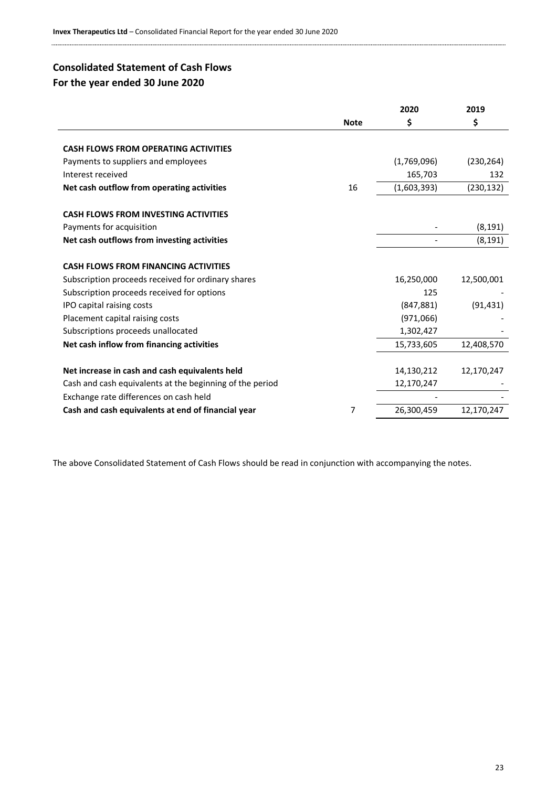# <span id="page-22-0"></span>**Consolidated Statement of Cash Flows For the year ended 30 June 2020**

|                                                          |             | 2020        | 2019       |
|----------------------------------------------------------|-------------|-------------|------------|
|                                                          | <b>Note</b> | \$          | \$         |
|                                                          |             |             |            |
| <b>CASH FLOWS FROM OPERATING ACTIVITIES</b>              |             |             |            |
| Payments to suppliers and employees                      |             | (1,769,096) | (230, 264) |
| Interest received                                        |             | 165,703     | 132        |
| Net cash outflow from operating activities               | 16          | (1,603,393) | (230, 132) |
| <b>CASH FLOWS FROM INVESTING ACTIVITIES</b>              |             |             |            |
| Payments for acquisition                                 |             |             | (8, 191)   |
| Net cash outflows from investing activities              |             |             | (8, 191)   |
| <b>CASH FLOWS FROM FINANCING ACTIVITIES</b>              |             |             |            |
| Subscription proceeds received for ordinary shares       |             | 16,250,000  | 12,500,001 |
| Subscription proceeds received for options               |             | 125         |            |
| IPO capital raising costs                                |             | (847, 881)  | (91, 431)  |
| Placement capital raising costs                          |             | (971,066)   |            |
| Subscriptions proceeds unallocated                       |             | 1,302,427   |            |
| Net cash inflow from financing activities                |             | 15,733,605  | 12,408,570 |
| Net increase in cash and cash equivalents held           |             | 14,130,212  | 12,170,247 |
| Cash and cash equivalents at the beginning of the period |             | 12,170,247  |            |
| Exchange rate differences on cash held                   |             |             |            |
| Cash and cash equivalents at end of financial year       | 7           | 26,300,459  | 12,170,247 |

The above Consolidated Statement of Cash Flows should be read in conjunction with accompanying the notes.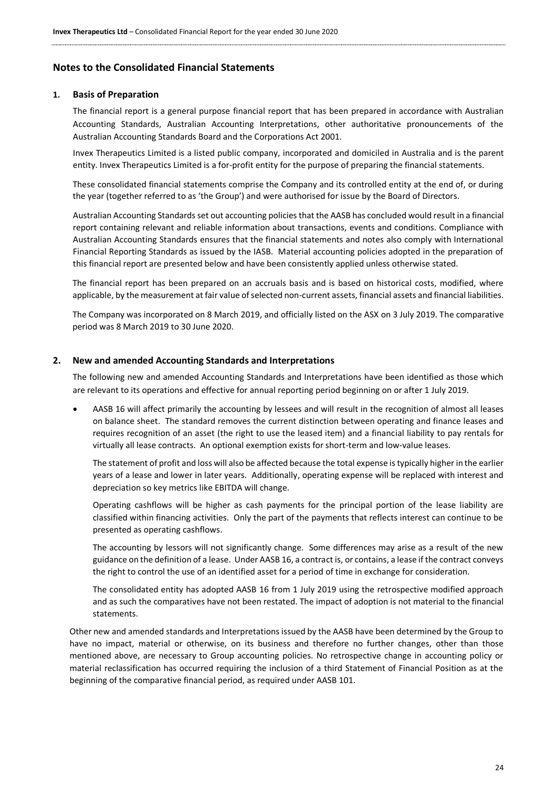### <span id="page-23-0"></span>**Notes to the Consolidated Financial Statements**

#### **1. Basis of Preparation**

The financial report is a general purpose financial report that has been prepared in accordance with Australian Accounting Standards, Australian Accounting Interpretations, other authoritative pronouncements of the Australian Accounting Standards Board and the Corporations Act 2001.

Invex Therapeutics Limited is a listed public company, incorporated and domiciled in Australia and is the parent entity. Invex Therapeutics Limited is a for-profit entity for the purpose of preparing the financial statements.

These consolidated financial statements comprise the Company and its controlled entity at the end of, or during the year (together referred to as 'the Group') and were authorised for issue by the Board of Directors.

Australian Accounting Standards set out accounting policies that the AASB has concluded would result in a financial report containing relevant and reliable information about transactions, events and conditions. Compliance with Australian Accounting Standards ensures that the financial statements and notes also comply with International Financial Reporting Standards as issued by the IASB. Material accounting policies adopted in the preparation of this financial report are presented below and have been consistently applied unless otherwise stated.

The financial report has been prepared on an accruals basis and is based on historical costs, modified, where applicable, by the measurement at fair value of selected non-current assets, financial assets and financial liabilities.

The Company was incorporated on 8 March 2019, and officially listed on the ASX on 3 July 2019. The comparative period was 8 March 2019 to 30 June 2020.

#### **2. New and amended Accounting Standards and Interpretations**

The following new and amended Accounting Standards and Interpretations have been identified as those which are relevant to its operations and effective for annual reporting period beginning on or after 1 July 2019.

• AASB 16 will affect primarily the accounting by lessees and will result in the recognition of almost all leases on balance sheet. The standard removes the current distinction between operating and finance leases and requires recognition of an asset (the right to use the leased item) and a financial liability to pay rentals for virtually all lease contracts. An optional exemption exists for short-term and low-value leases.

The statement of profit and loss will also be affected because the total expense is typically higher in the earlier years of a lease and lower in later years. Additionally, operating expense will be replaced with interest and depreciation so key metrics like EBITDA will change.

Operating cashflows will be higher as cash payments for the principal portion of the lease liability are classified within financing activities. Only the part of the payments that reflects interest can continue to be presented as operating cashflows.

The accounting by lessors will not significantly change. Some differences may arise as a result of the new guidance on the definition of a lease. Under AASB 16, a contract is, or contains, a lease if the contract conveys the right to control the use of an identified asset for a period of time in exchange for consideration.

The consolidated entity has adopted AASB 16 from 1 July 2019 using the retrospective modified approach and as such the comparatives have not been restated. The impact of adoption is not material to the financial statements.

Other new and amended standards and Interpretations issued by the AASB have been determined by the Group to have no impact, material or otherwise, on its business and therefore no further changes, other than those mentioned above, are necessary to Group accounting policies. No retrospective change in accounting policy or material reclassification has occurred requiring the inclusion of a third Statement of Financial Position as at the beginning of the comparative financial period, as required under AASB 101.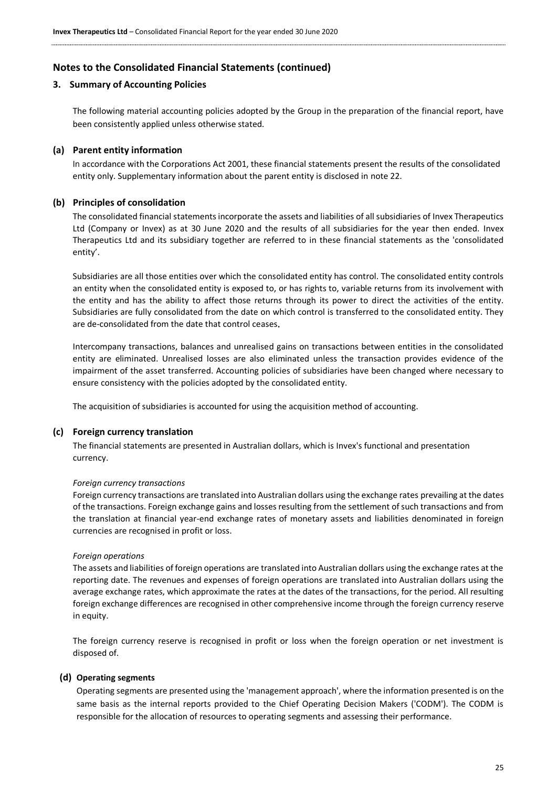#### **3. Summary of Accounting Policies**

The following material accounting policies adopted by the Group in the preparation of the financial report, have been consistently applied unless otherwise stated.

#### **(a) Parent entity information**

In accordance with the Corporations Act 2001, these financial statements present the results of the consolidated entity only. Supplementary information about the parent entity is disclosed in note 22.

#### **(b) Principles of consolidation**

The consolidated financial statements incorporate the assets and liabilities of all subsidiaries of Invex Therapeutics Ltd (Company or Invex) as at 30 June 2020 and the results of all subsidiaries for the year then ended. Invex Therapeutics Ltd and its subsidiary together are referred to in these financial statements as the 'consolidated entity'.

Subsidiaries are all those entities over which the consolidated entity has control. The consolidated entity controls an entity when the consolidated entity is exposed to, or has rights to, variable returns from its involvement with the entity and has the ability to affect those returns through its power to direct the activities of the entity. Subsidiaries are fully consolidated from the date on which control is transferred to the consolidated entity. They are de-consolidated from the date that control ceases.

Intercompany transactions, balances and unrealised gains on transactions between entities in the consolidated entity are eliminated. Unrealised losses are also eliminated unless the transaction provides evidence of the impairment of the asset transferred. Accounting policies of subsidiaries have been changed where necessary to ensure consistency with the policies adopted by the consolidated entity.

The acquisition of subsidiaries is accounted for using the acquisition method of accounting.

#### **(c) Foreign currency translation**

The financial statements are presented in Australian dollars, which is Invex's functional and presentation currency.

#### *Foreign currency transactions*

Foreign currency transactions are translated into Australian dollars using the exchange rates prevailing at the dates of the transactions. Foreign exchange gains and losses resulting from the settlement of such transactions and from the translation at financial year-end exchange rates of monetary assets and liabilities denominated in foreign currencies are recognised in profit or loss.

#### *Foreign operations*

The assets and liabilities of foreign operations are translated into Australian dollars using the exchange rates at the reporting date. The revenues and expenses of foreign operations are translated into Australian dollars using the average exchange rates, which approximate the rates at the dates of the transactions, for the period. All resulting foreign exchange differences are recognised in other comprehensive income through the foreign currency reserve in equity.

The foreign currency reserve is recognised in profit or loss when the foreign operation or net investment is disposed of.

#### **(d) Operating segments**

Operating segments are presented using the 'management approach', where the information presented is on the same basis as the internal reports provided to the Chief Operating Decision Makers ('CODM'). The CODM is responsible for the allocation of resources to operating segments and assessing their performance.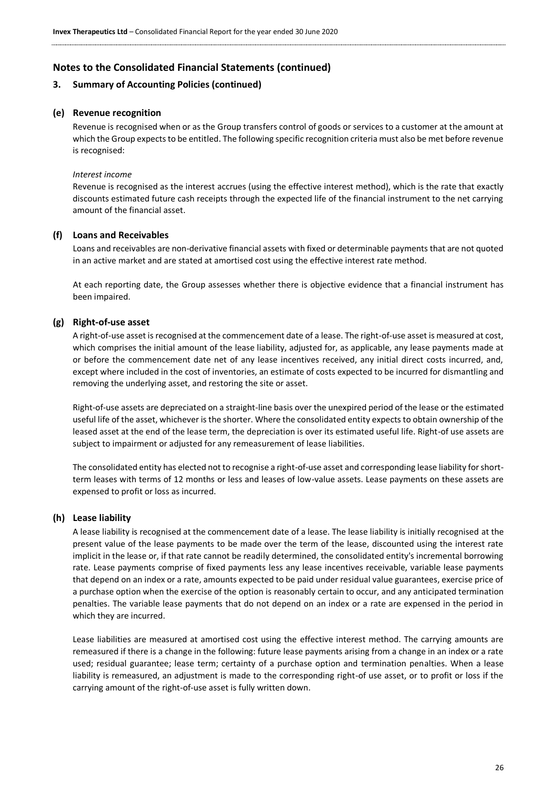### **3. Summary of Accounting Policies (continued)**

#### **(e) Revenue recognition**

Revenue is recognised when or as the Group transfers control of goods or services to a customer at the amount at which the Group expects to be entitled. The following specific recognition criteria must also be met before revenue is recognised:

#### *Interest income*

Revenue is recognised as the interest accrues (using the effective interest method), which is the rate that exactly discounts estimated future cash receipts through the expected life of the financial instrument to the net carrying amount of the financial asset.

#### **(f) Loans and Receivables**

Loans and receivables are non-derivative financial assets with fixed or determinable payments that are not quoted in an active market and are stated at amortised cost using the effective interest rate method.

At each reporting date, the Group assesses whether there is objective evidence that a financial instrument has been impaired.

#### **(g) Right-of-use asset**

A right-of-use asset is recognised at the commencement date of a lease. The right-of-use asset is measured at cost, which comprises the initial amount of the lease liability, adjusted for, as applicable, any lease payments made at or before the commencement date net of any lease incentives received, any initial direct costs incurred, and, except where included in the cost of inventories, an estimate of costs expected to be incurred for dismantling and removing the underlying asset, and restoring the site or asset.

Right-of-use assets are depreciated on a straight-line basis over the unexpired period of the lease or the estimated useful life of the asset, whichever is the shorter. Where the consolidated entity expects to obtain ownership of the leased asset at the end of the lease term, the depreciation is over its estimated useful life. Right-of use assets are subject to impairment or adjusted for any remeasurement of lease liabilities.

The consolidated entity has elected not to recognise a right-of-use asset and corresponding lease liability for shortterm leases with terms of 12 months or less and leases of low-value assets. Lease payments on these assets are expensed to profit or loss as incurred.

#### **(h) Lease liability**

A lease liability is recognised at the commencement date of a lease. The lease liability is initially recognised at the present value of the lease payments to be made over the term of the lease, discounted using the interest rate implicit in the lease or, if that rate cannot be readily determined, the consolidated entity's incremental borrowing rate. Lease payments comprise of fixed payments less any lease incentives receivable, variable lease payments that depend on an index or a rate, amounts expected to be paid under residual value guarantees, exercise price of a purchase option when the exercise of the option is reasonably certain to occur, and any anticipated termination penalties. The variable lease payments that do not depend on an index or a rate are expensed in the period in which they are incurred.

Lease liabilities are measured at amortised cost using the effective interest method. The carrying amounts are remeasured if there is a change in the following: future lease payments arising from a change in an index or a rate used; residual guarantee; lease term; certainty of a purchase option and termination penalties. When a lease liability is remeasured, an adjustment is made to the corresponding right-of use asset, or to profit or loss if the carrying amount of the right-of-use asset is fully written down.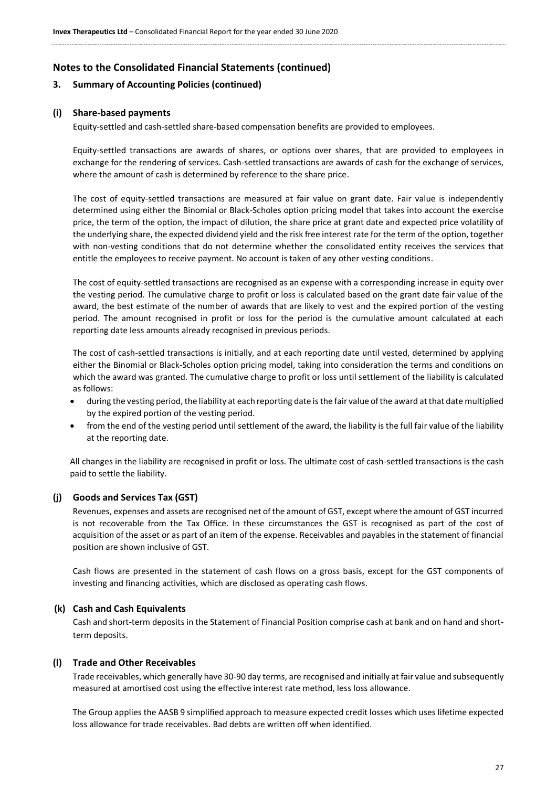# **3. Summary of Accounting Policies (continued)**

# **(i) Share-based payments**

Equity-settled and cash-settled share-based compensation benefits are provided to employees.

Equity-settled transactions are awards of shares, or options over shares, that are provided to employees in exchange for the rendering of services. Cash-settled transactions are awards of cash for the exchange of services, where the amount of cash is determined by reference to the share price.

The cost of equity-settled transactions are measured at fair value on grant date. Fair value is independently determined using either the Binomial or Black-Scholes option pricing model that takes into account the exercise price, the term of the option, the impact of dilution, the share price at grant date and expected price volatility of the underlying share, the expected dividend yield and the risk free interest rate for the term of the option, together with non-vesting conditions that do not determine whether the consolidated entity receives the services that entitle the employees to receive payment. No account is taken of any other vesting conditions.

The cost of equity-settled transactions are recognised as an expense with a corresponding increase in equity over the vesting period. The cumulative charge to profit or loss is calculated based on the grant date fair value of the award, the best estimate of the number of awards that are likely to vest and the expired portion of the vesting period. The amount recognised in profit or loss for the period is the cumulative amount calculated at each reporting date less amounts already recognised in previous periods.

The cost of cash-settled transactions is initially, and at each reporting date until vested, determined by applying either the Binomial or Black-Scholes option pricing model, taking into consideration the terms and conditions on which the award was granted. The cumulative charge to profit or loss until settlement of the liability is calculated as follows:

- during the vesting period, the liability at each reporting date is the fair value of the award at that date multiplied by the expired portion of the vesting period.
- from the end of the vesting period until settlement of the award, the liability is the full fair value of the liability at the reporting date.

All changes in the liability are recognised in profit or loss. The ultimate cost of cash-settled transactions is the cash paid to settle the liability.

# **(j) Goods and Services Tax (GST)**

Revenues, expenses and assets are recognised net of the amount of GST, except where the amount of GST incurred is not recoverable from the Tax Office. In these circumstances the GST is recognised as part of the cost of acquisition of the asset or as part of an item of the expense. Receivables and payables in the statement of financial position are shown inclusive of GST.

Cash flows are presented in the statement of cash flows on a gross basis, except for the GST components of investing and financing activities, which are disclosed as operating cash flows.

### **(k) Cash and Cash Equivalents**

Cash and short-term deposits in the Statement of Financial Position comprise cash at bank and on hand and shortterm deposits.

### **(l) Trade and Other Receivables**

Trade receivables, which generally have 30-90 day terms, are recognised and initially at fair value and subsequently measured at amortised cost using the effective interest rate method, less loss allowance.

The Group applies the AASB 9 simplified approach to measure expected credit losses which uses lifetime expected loss allowance for trade receivables. Bad debts are written off when identified.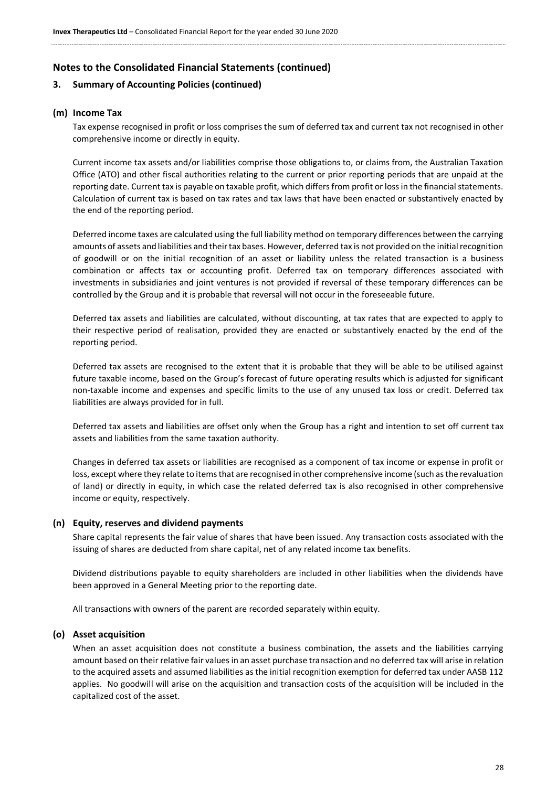### **3. Summary of Accounting Policies (continued)**

#### **(m) Income Tax**

Tax expense recognised in profit or loss comprises the sum of deferred tax and current tax not recognised in other comprehensive income or directly in equity.

Current income tax assets and/or liabilities comprise those obligations to, or claims from, the Australian Taxation Office (ATO) and other fiscal authorities relating to the current or prior reporting periods that are unpaid at the reporting date. Current tax is payable on taxable profit, which differs from profit or loss in the financial statements. Calculation of current tax is based on tax rates and tax laws that have been enacted or substantively enacted by the end of the reporting period.

Deferred income taxes are calculated using the full liability method on temporary differences between the carrying amounts of assets and liabilities and their tax bases. However, deferred tax is not provided on the initial recognition of goodwill or on the initial recognition of an asset or liability unless the related transaction is a business combination or affects tax or accounting profit. Deferred tax on temporary differences associated with investments in subsidiaries and joint ventures is not provided if reversal of these temporary differences can be controlled by the Group and it is probable that reversal will not occur in the foreseeable future.

Deferred tax assets and liabilities are calculated, without discounting, at tax rates that are expected to apply to their respective period of realisation, provided they are enacted or substantively enacted by the end of the reporting period.

Deferred tax assets are recognised to the extent that it is probable that they will be able to be utilised against future taxable income, based on the Group's forecast of future operating results which is adjusted for significant non-taxable income and expenses and specific limits to the use of any unused tax loss or credit. Deferred tax liabilities are always provided for in full.

Deferred tax assets and liabilities are offset only when the Group has a right and intention to set off current tax assets and liabilities from the same taxation authority.

Changes in deferred tax assets or liabilities are recognised as a component of tax income or expense in profit or loss, except where they relate to items that are recognised in other comprehensive income (such as the revaluation of land) or directly in equity, in which case the related deferred tax is also recognised in other comprehensive income or equity, respectively.

#### **(n) Equity, reserves and dividend payments**

Share capital represents the fair value of shares that have been issued. Any transaction costs associated with the issuing of shares are deducted from share capital, net of any related income tax benefits.

Dividend distributions payable to equity shareholders are included in other liabilities when the dividends have been approved in a General Meeting prior to the reporting date.

All transactions with owners of the parent are recorded separately within equity.

#### **(o) Asset acquisition**

When an asset acquisition does not constitute a business combination, the assets and the liabilities carrying amount based on their relative fair values in an asset purchase transaction and no deferred tax will arise in relation to the acquired assets and assumed liabilities as the initial recognition exemption for deferred tax under AASB 112 applies. No goodwill will arise on the acquisition and transaction costs of the acquisition will be included in the capitalized cost of the asset.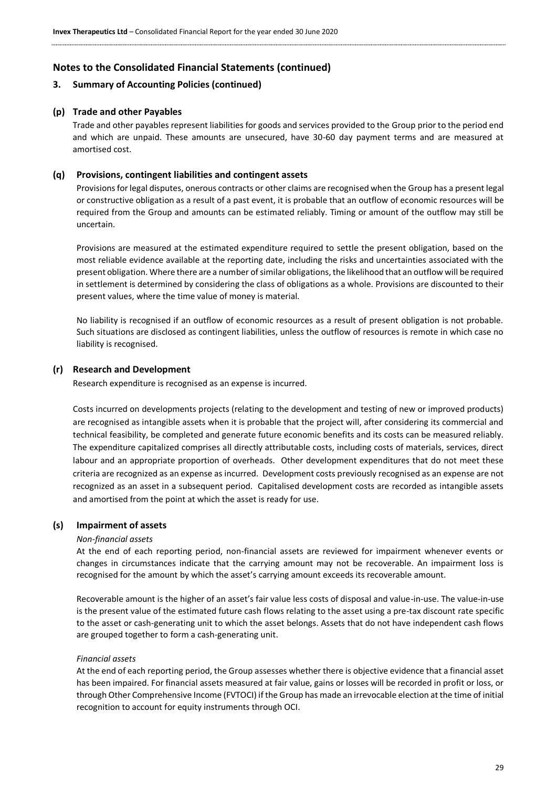### **3. Summary of Accounting Policies (continued)**

#### **(p) Trade and other Payables**

Trade and other payables represent liabilities for goods and services provided to the Group prior to the period end and which are unpaid. These amounts are unsecured, have 30-60 day payment terms and are measured at amortised cost.

#### **(q) Provisions, contingent liabilities and contingent assets**

Provisions for legal disputes, onerous contracts or other claims are recognised when the Group has a present legal or constructive obligation as a result of a past event, it is probable that an outflow of economic resources will be required from the Group and amounts can be estimated reliably. Timing or amount of the outflow may still be uncertain.

Provisions are measured at the estimated expenditure required to settle the present obligation, based on the most reliable evidence available at the reporting date, including the risks and uncertainties associated with the present obligation. Where there are a number of similar obligations, the likelihood that an outflow will be required in settlement is determined by considering the class of obligations as a whole. Provisions are discounted to their present values, where the time value of money is material.

No liability is recognised if an outflow of economic resources as a result of present obligation is not probable. Such situations are disclosed as contingent liabilities, unless the outflow of resources is remote in which case no liability is recognised.

#### **(r) Research and Development**

Research expenditure is recognised as an expense is incurred.

Costs incurred on developments projects (relating to the development and testing of new or improved products) are recognised as intangible assets when it is probable that the project will, after considering its commercial and technical feasibility, be completed and generate future economic benefits and its costs can be measured reliably. The expenditure capitalized comprises all directly attributable costs, including costs of materials, services, direct labour and an appropriate proportion of overheads. Other development expenditures that do not meet these criteria are recognized as an expense as incurred. Development costs previously recognised as an expense are not recognized as an asset in a subsequent period. Capitalised development costs are recorded as intangible assets and amortised from the point at which the asset is ready for use.

#### **(s) Impairment of assets**

#### *Non-financial assets*

At the end of each reporting period, non-financial assets are reviewed for impairment whenever events or changes in circumstances indicate that the carrying amount may not be recoverable. An impairment loss is recognised for the amount by which the asset's carrying amount exceeds its recoverable amount.

Recoverable amount is the higher of an asset's fair value less costs of disposal and value-in-use. The value-in-use is the present value of the estimated future cash flows relating to the asset using a pre-tax discount rate specific to the asset or cash-generating unit to which the asset belongs. Assets that do not have independent cash flows are grouped together to form a cash-generating unit.

#### *Financial assets*

At the end of each reporting period, the Group assesses whether there is objective evidence that a financial asset has been impaired. For financial assets measured at fair value, gains or losses will be recorded in profit or loss, or through Other Comprehensive Income (FVTOCI) if the Group has made an irrevocable election at the time of initial recognition to account for equity instruments through OCI.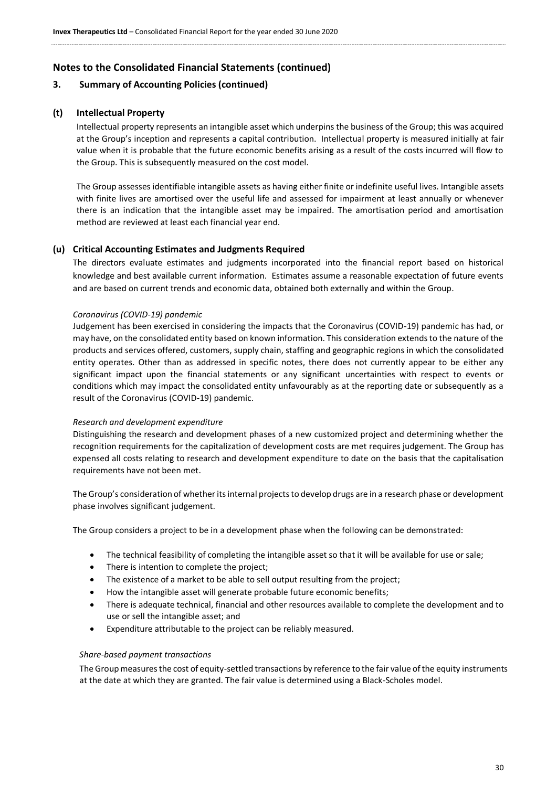### **3. Summary of Accounting Policies (continued)**

### **(t) Intellectual Property**

Intellectual property represents an intangible asset which underpins the business of the Group; this was acquired at the Group's inception and represents a capital contribution. Intellectual property is measured initially at fair value when it is probable that the future economic benefits arising as a result of the costs incurred will flow to the Group. This is subsequently measured on the cost model.

The Group assesses identifiable intangible assets as having either finite or indefinite useful lives. Intangible assets with finite lives are amortised over the useful life and assessed for impairment at least annually or whenever there is an indication that the intangible asset may be impaired. The amortisation period and amortisation method are reviewed at least each financial year end.

#### **(u) Critical Accounting Estimates and Judgments Required**

The directors evaluate estimates and judgments incorporated into the financial report based on historical knowledge and best available current information. Estimates assume a reasonable expectation of future events and are based on current trends and economic data, obtained both externally and within the Group.

#### *Coronavirus (COVID-19) pandemic*

Judgement has been exercised in considering the impacts that the Coronavirus (COVID-19) pandemic has had, or may have, on the consolidated entity based on known information. This consideration extends to the nature of the products and services offered, customers, supply chain, staffing and geographic regions in which the consolidated entity operates. Other than as addressed in specific notes, there does not currently appear to be either any significant impact upon the financial statements or any significant uncertainties with respect to events or conditions which may impact the consolidated entity unfavourably as at the reporting date or subsequently as a result of the Coronavirus (COVID-19) pandemic.

#### *Research and development expenditure*

Distinguishing the research and development phases of a new customized project and determining whether the recognition requirements for the capitalization of development costs are met requires judgement. The Group has expensed all costs relating to research and development expenditure to date on the basis that the capitalisation requirements have not been met.

The Group's consideration of whether its internal projects to develop drugs are in a research phase or development phase involves significant judgement.

The Group considers a project to be in a development phase when the following can be demonstrated:

- The technical feasibility of completing the intangible asset so that it will be available for use or sale;
- There is intention to complete the project;
- The existence of a market to be able to sell output resulting from the project:
- How the intangible asset will generate probable future economic benefits;
- There is adequate technical, financial and other resources available to complete the development and to use or sell the intangible asset; and
- Expenditure attributable to the project can be reliably measured.

#### *Share-based payment transactions*

The Group measures the cost of equity-settled transactions by reference to the fair value of the equity instruments at the date at which they are granted. The fair value is determined using a Black-Scholes model.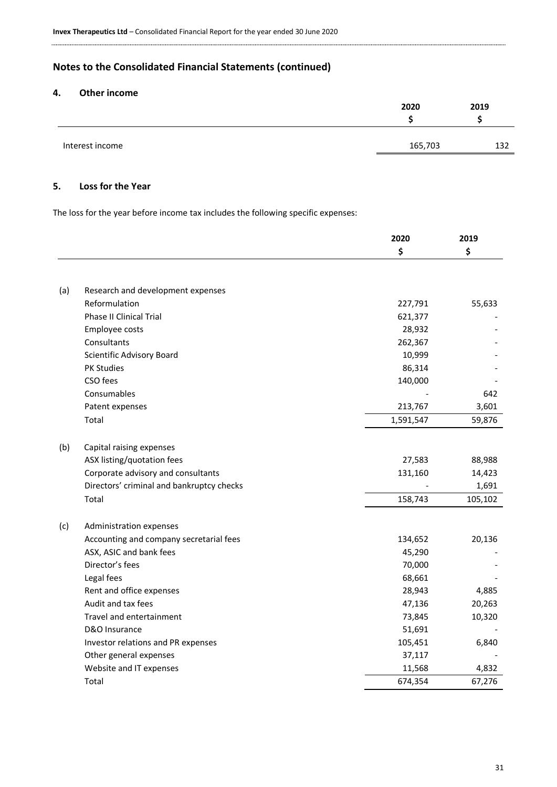# **4. Other income**

|                 | 2020    | 2019 |
|-----------------|---------|------|
|                 |         |      |
|                 |         |      |
| Interest income | 165,703 | 132  |
|                 |         |      |

# **5. Loss for the Year**

The loss for the year before income tax includes the following specific expenses:

|     |                                           | 2020      | 2019    |
|-----|-------------------------------------------|-----------|---------|
|     |                                           | \$        | \$      |
|     |                                           |           |         |
| (a) | Research and development expenses         |           |         |
|     | Reformulation                             | 227,791   | 55,633  |
|     | <b>Phase II Clinical Trial</b>            | 621,377   |         |
|     | Employee costs                            | 28,932    |         |
|     | Consultants                               | 262,367   |         |
|     | Scientific Advisory Board                 | 10,999    |         |
|     | PK Studies                                | 86,314    |         |
|     | CSO fees                                  | 140,000   |         |
|     | Consumables                               |           | 642     |
|     | Patent expenses                           | 213,767   | 3,601   |
|     | Total                                     | 1,591,547 | 59,876  |
| (b) | Capital raising expenses                  |           |         |
|     | ASX listing/quotation fees                | 27,583    | 88,988  |
|     | Corporate advisory and consultants        | 131,160   | 14,423  |
|     | Directors' criminal and bankruptcy checks |           | 1,691   |
|     | Total                                     | 158,743   | 105,102 |
| (c) | Administration expenses                   |           |         |
|     | Accounting and company secretarial fees   | 134,652   | 20,136  |
|     | ASX, ASIC and bank fees                   | 45,290    |         |
|     | Director's fees                           | 70,000    |         |
|     | Legal fees                                | 68,661    |         |
|     | Rent and office expenses                  | 28,943    | 4,885   |
|     | Audit and tax fees                        | 47,136    | 20,263  |
|     | Travel and entertainment                  | 73,845    | 10,320  |
|     | D&O Insurance                             | 51,691    |         |
|     | Investor relations and PR expenses        | 105,451   | 6,840   |
|     | Other general expenses                    | 37,117    |         |
|     | Website and IT expenses                   | 11,568    | 4,832   |
|     | Total                                     | 674,354   | 67,276  |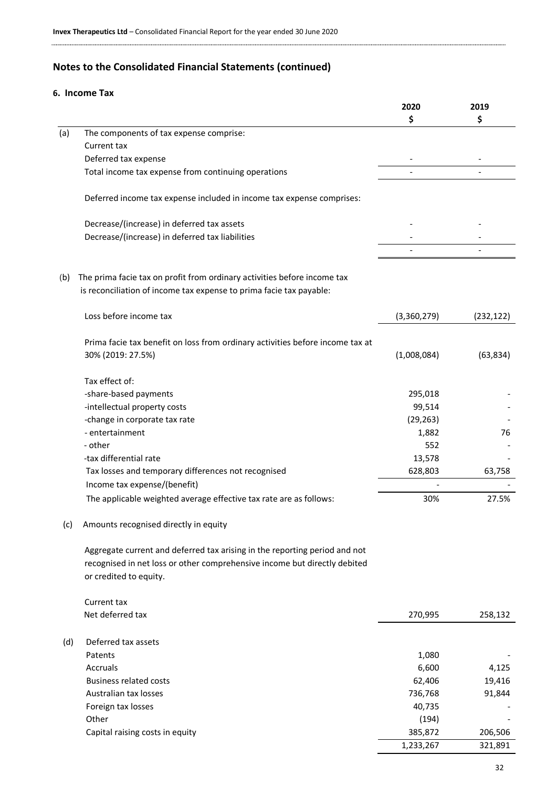# **6. Income Tax**

|     |                                                                               | 2020        | 2019       |
|-----|-------------------------------------------------------------------------------|-------------|------------|
|     |                                                                               | \$          | \$         |
| (a) | The components of tax expense comprise:                                       |             |            |
|     | Current tax                                                                   |             |            |
|     | Deferred tax expense                                                          |             |            |
|     | Total income tax expense from continuing operations                           |             |            |
|     |                                                                               |             |            |
|     | Deferred income tax expense included in income tax expense comprises:         |             |            |
|     | Decrease/(increase) in deferred tax assets                                    |             |            |
|     | Decrease/(increase) in deferred tax liabilities                               |             |            |
|     |                                                                               |             |            |
| (b) | The prima facie tax on profit from ordinary activities before income tax      |             |            |
|     | is reconciliation of income tax expense to prima facie tax payable:           |             |            |
|     | Loss before income tax                                                        | (3,360,279) | (232, 122) |
|     |                                                                               |             |            |
|     | Prima facie tax benefit on loss from ordinary activities before income tax at |             |            |
|     | 30% (2019: 27.5%)                                                             | (1,008,084) | (63, 834)  |
|     |                                                                               |             |            |
|     | Tax effect of:                                                                |             |            |
|     | -share-based payments                                                         | 295,018     |            |
|     | -intellectual property costs                                                  | 99,514      |            |
|     | -change in corporate tax rate                                                 | (29, 263)   |            |
|     | - entertainment                                                               | 1,882       | 76         |
|     | - other                                                                       | 552         |            |
|     | -tax differential rate                                                        | 13,578      |            |
|     | Tax losses and temporary differences not recognised                           | 628,803     | 63,758     |
|     | Income tax expense/(benefit)                                                  |             |            |
|     | The applicable weighted average effective tax rate are as follows:            | 30%         | 27.5%      |
|     |                                                                               |             |            |
| (c) | Amounts recognised directly in equity                                         |             |            |
|     | Aggregate current and deferred tax arising in the reporting period and not    |             |            |
|     | recognised in net loss or other comprehensive income but directly debited     |             |            |
|     | or credited to equity.                                                        |             |            |
|     |                                                                               |             |            |
|     | Current tax                                                                   |             |            |
|     | Net deferred tax                                                              | 270,995     | 258,132    |
|     |                                                                               |             |            |
| (d) | Deferred tax assets                                                           |             |            |
|     | Patents                                                                       | 1,080       |            |
|     | Accruals                                                                      | 6,600       | 4,125      |
|     | <b>Business related costs</b>                                                 | 62,406      | 19,416     |
|     | Australian tax losses                                                         | 736,768     | 91,844     |
|     | Foreign tax losses                                                            | 40,735      |            |
|     | Other                                                                         | (194)       |            |
|     | Capital raising costs in equity                                               | 385,872     | 206,506    |
|     |                                                                               | 1,233,267   | 321,891    |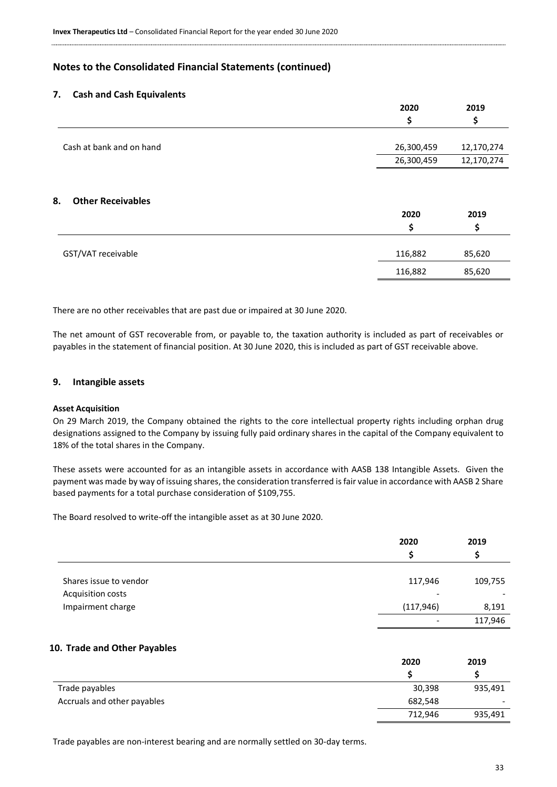#### **7. Cash and Cash Equivalents**

|                                | 2020       | 2019       |
|--------------------------------|------------|------------|
|                                | \$         | Ş          |
|                                |            |            |
| Cash at bank and on hand       | 26,300,459 | 12,170,274 |
|                                | 26,300,459 | 12,170,274 |
| <b>Other Receivables</b><br>8. | 2020<br>\$ | 2019       |
| GST/VAT receivable             | 116,882    | 85,620     |
|                                | 116,882    | 85,620     |

There are no other receivables that are past due or impaired at 30 June 2020.

The net amount of GST recoverable from, or payable to, the taxation authority is included as part of receivables or payables in the statement of financial position. At 30 June 2020, this is included as part of GST receivable above.

#### **9. Intangible assets**

#### **Asset Acquisition**

On 29 March 2019, the Company obtained the rights to the core intellectual property rights including orphan drug designations assigned to the Company by issuing fully paid ordinary shares in the capital of the Company equivalent to 18% of the total shares in the Company.

These assets were accounted for as an intangible assets in accordance with AASB 138 Intangible Assets. Given the payment was made by way of issuing shares, the consideration transferred is fair value in accordance with AASB 2 Share based payments for a total purchase consideration of \$109,755.

The Board resolved to write-off the intangible asset as at 30 June 2020.

|                        | 2020                     | 2019    |
|------------------------|--------------------------|---------|
|                        | S                        |         |
|                        |                          |         |
| Shares issue to vendor | 117,946                  | 109,755 |
| Acquisition costs      | $\overline{\phantom{a}}$ |         |
| Impairment charge      | (117, 946)               | 8,191   |
|                        | $\overline{\phantom{a}}$ | 117,946 |

#### **10. Trade and Other Payables**

|                             | 2020    | 2019    |
|-----------------------------|---------|---------|
|                             |         |         |
| Trade payables              | 30,398  | 935,491 |
| Accruals and other payables | 682,548 | -       |
|                             | 712,946 | 935,491 |

Trade payables are non-interest bearing and are normally settled on 30-day terms.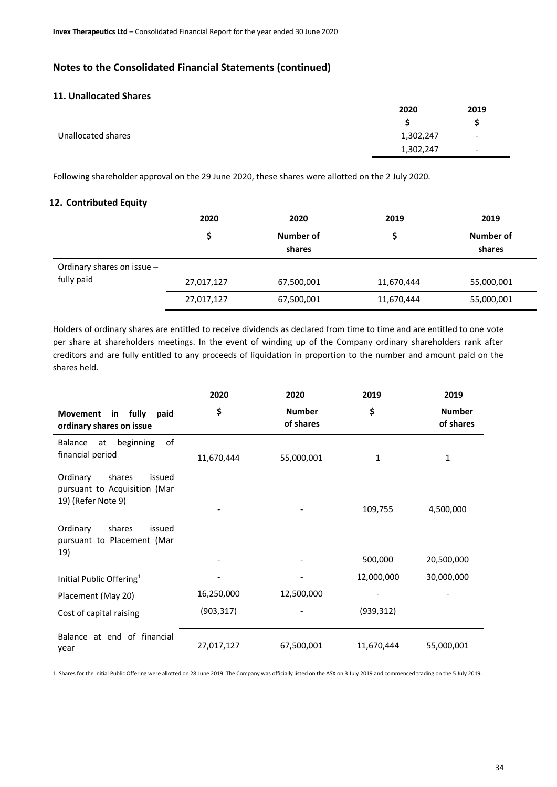# **11. Unallocated Shares**

|                    | 2020      | 2019                     |
|--------------------|-----------|--------------------------|
|                    |           |                          |
| Unallocated shares | 1,302,247 | $\overline{\phantom{a}}$ |
|                    | 1,302,247 | $\overline{\phantom{0}}$ |

Following shareholder approval on the 29 June 2020, these shares were allotted on the 2 July 2020.

# **12. Contributed Equity**

|                            | 2020       | 2020                | 2019       | 2019                |
|----------------------------|------------|---------------------|------------|---------------------|
|                            | \$         | Number of<br>shares | S          | Number of<br>shares |
| Ordinary shares on issue - |            |                     |            |                     |
| fully paid                 | 27,017,127 | 67,500,001          | 11,670,444 | 55,000,001          |
|                            | 27,017,127 | 67,500,001          | 11,670,444 | 55,000,001          |

Holders of ordinary shares are entitled to receive dividends as declared from time to time and are entitled to one vote per share at shareholders meetings. In the event of winding up of the Company ordinary shareholders rank after creditors and are fully entitled to any proceeds of liquidation in proportion to the number and amount paid on the shares held.

|                                                                                    | 2020       | 2020                       | 2019       | 2019                       |
|------------------------------------------------------------------------------------|------------|----------------------------|------------|----------------------------|
| in fully<br><b>Movement</b><br>paid<br>ordinary shares on issue                    | \$         | <b>Number</b><br>of shares | \$         | <b>Number</b><br>of shares |
| of<br>beginning<br><b>Balance</b><br>at<br>financial period                        | 11,670,444 | 55,000,001                 | 1          | 1                          |
| shares<br>Ordinary<br>issued<br>pursuant to Acquisition (Mar<br>19) (Refer Note 9) |            |                            | 109,755    | 4,500,000                  |
| Ordinary<br>shares<br>issued<br>pursuant to Placement (Mar                         |            |                            |            |                            |
| 19)                                                                                |            |                            | 500,000    | 20,500,000                 |
| Initial Public Offering <sup>1</sup>                                               |            |                            | 12,000,000 | 30,000,000                 |
| Placement (May 20)                                                                 | 16,250,000 | 12,500,000                 |            |                            |
| Cost of capital raising                                                            | (903, 317) |                            | (939, 312) |                            |
| Balance at end of financial<br>year                                                | 27,017,127 | 67,500,001                 | 11,670,444 | 55,000,001                 |

1. Shares for the Initial Public Offering were allotted on 28 June 2019. The Company was officially listed on the ASX on 3 July 2019 and commenced trading on the 5 July 2019.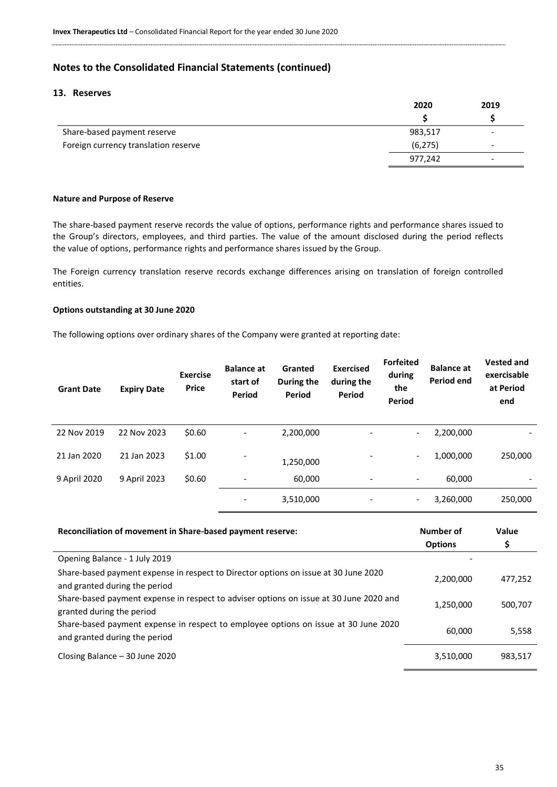# **13. Reserves**

|                                      | 2020     | 2019                     |
|--------------------------------------|----------|--------------------------|
|                                      |          |                          |
| Share-based payment reserve          | 983,517  | $\overline{\phantom{0}}$ |
| Foreign currency translation reserve | (6, 275) | $\overline{\phantom{0}}$ |
|                                      | 977,242  | $\overline{\phantom{0}}$ |

#### **Nature and Purpose of Reserve**

The share-based payment reserve records the value of options, performance rights and performance shares issued to the Group's directors, employees, and third parties. The value of the amount disclosed during the period reflects the value of options, performance rights and performance shares issued by the Group.

The Foreign currency translation reserve records exchange differences arising on translation of foreign controlled entities.

#### **Options outstanding at 30 June 2020**

The following options over ordinary shares of the Company were granted at reporting date:

| <b>Grant Date</b> | <b>Expiry Date</b> | <b>Exercise</b><br><b>Price</b> | <b>Balance at</b><br>start of<br>Period | Granted<br>During the<br>Period | <b>Exercised</b><br>during the<br>Period | <b>Forfeited</b><br>during<br>the<br>Period | <b>Balance at</b><br><b>Period end</b> | <b>Vested and</b><br>exercisable<br>at Period<br>end |
|-------------------|--------------------|---------------------------------|-----------------------------------------|---------------------------------|------------------------------------------|---------------------------------------------|----------------------------------------|------------------------------------------------------|
| 22 Nov 2019       | 22 Nov 2023        | \$0.60                          | $\overline{\phantom{a}}$                | 2,200,000                       |                                          | -                                           | 2,200,000                              |                                                      |
| 21 Jan 2020       | 21 Jan 2023        | \$1.00                          |                                         | 1,250,000                       |                                          | $\overline{\phantom{a}}$                    | 1,000,000                              | 250,000                                              |
| 9 April 2020      | 9 April 2023       | \$0.60                          | $\overline{\phantom{a}}$                | 60,000                          | $\qquad \qquad \blacksquare$             | -                                           | 60.000                                 |                                                      |
|                   |                    |                                 |                                         | 3,510,000                       |                                          | $\overline{\phantom{a}}$                    | 3,260,000                              | 250,000                                              |

| Reconciliation of movement in Share-based payment reserve:                                                           | Number of      | Value   |
|----------------------------------------------------------------------------------------------------------------------|----------------|---------|
|                                                                                                                      | <b>Options</b> | \$      |
| Opening Balance - 1 July 2019                                                                                        |                |         |
| Share-based payment expense in respect to Director options on issue at 30 June 2020<br>and granted during the period | 2,200,000      | 477,252 |
| Share-based payment expense in respect to adviser options on issue at 30 June 2020 and<br>granted during the period  | 1,250,000      | 500,707 |
| Share-based payment expense in respect to employee options on issue at 30 June 2020<br>and granted during the period | 60.000         | 5,558   |
| Closing Balance $-30$ June 2020                                                                                      | 3,510,000      | 983,517 |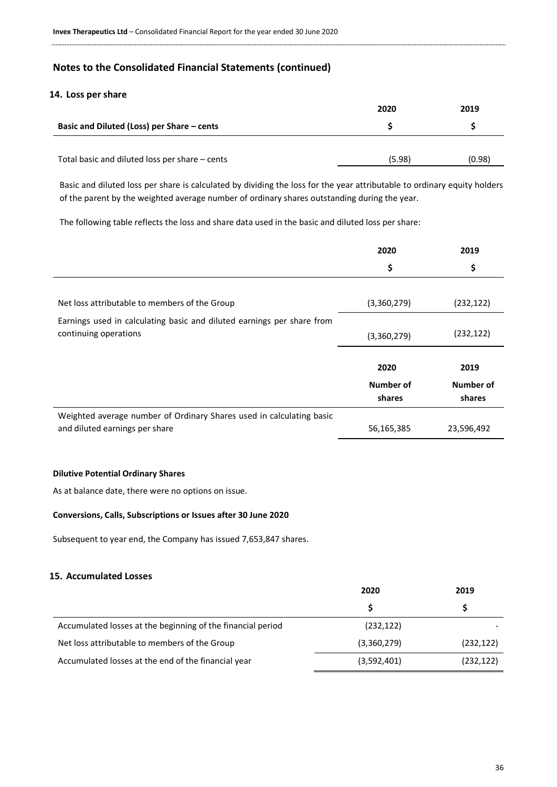#### **14. Loss per share**

|                                                | 2020   | 2019   |
|------------------------------------------------|--------|--------|
| Basic and Diluted (Loss) per Share - cents     |        |        |
|                                                |        |        |
| Total basic and diluted loss per share - cents | (5.98) | (0.98) |

Basic and diluted loss per share is calculated by dividing the loss for the year attributable to ordinary equity holders of the parent by the weighted average number of ordinary shares outstanding during the year.

The following table reflects the loss and share data used in the basic and diluted loss per share:

|                                                                        | 2020        | 2019       |
|------------------------------------------------------------------------|-------------|------------|
|                                                                        | \$          | \$         |
|                                                                        |             |            |
| Net loss attributable to members of the Group                          | (3,360,279) | (232, 122) |
| Earnings used in calculating basic and diluted earnings per share from |             |            |
| continuing operations                                                  | (3,360,279) | (232, 122) |
|                                                                        |             |            |
|                                                                        | 2020        | 2019       |
|                                                                        | Number of   | Number of  |
|                                                                        | shares      | shares     |
| Weighted average number of Ordinary Shares used in calculating basic   |             |            |
| and diluted earnings per share                                         | 56,165,385  | 23,596,492 |

#### **Dilutive Potential Ordinary Shares**

As at balance date, there were no options on issue.

#### **Conversions, Calls, Subscriptions or Issues after 30 June 2020**

Subsequent to year end, the Company has issued 7,653,847 shares.

#### **15. Accumulated Losses**

|                                                             | 2020        | 2019       |  |
|-------------------------------------------------------------|-------------|------------|--|
|                                                             |             |            |  |
| Accumulated losses at the beginning of the financial period | (232, 122)  |            |  |
| Net loss attributable to members of the Group               | (3,360,279) | (232, 122) |  |
| Accumulated losses at the end of the financial year         | (3,592,401) | (232, 122) |  |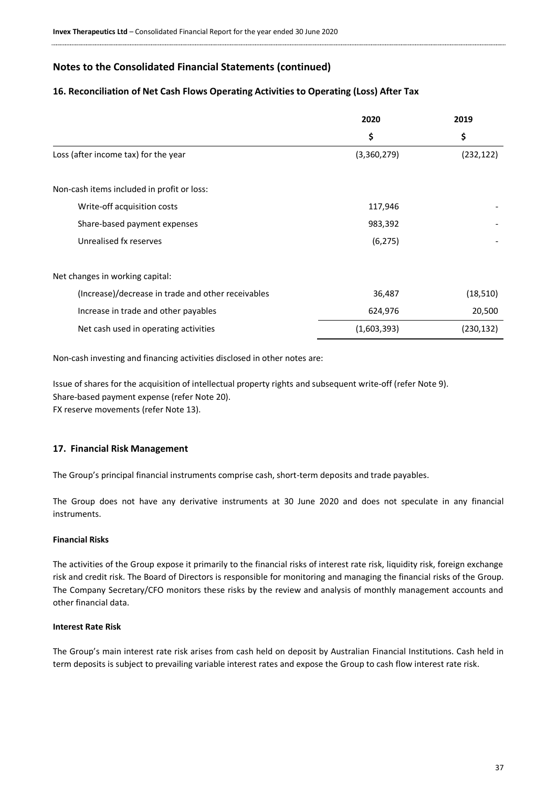#### **16. Reconciliation of Net Cash Flows Operating Activities to Operating (Loss) After Tax**

|                                                    | 2020        | 2019       |
|----------------------------------------------------|-------------|------------|
|                                                    | \$          | \$         |
| Loss (after income tax) for the year               | (3,360,279) | (232, 122) |
| Non-cash items included in profit or loss:         |             |            |
| Write-off acquisition costs                        | 117,946     |            |
| Share-based payment expenses                       | 983,392     |            |
| Unrealised fx reserves                             | (6, 275)    |            |
| Net changes in working capital:                    |             |            |
| (Increase)/decrease in trade and other receivables | 36,487      | (18, 510)  |
| Increase in trade and other payables               | 624,976     | 20,500     |
| Net cash used in operating activities              | (1,603,393) | (230, 132) |

Non-cash investing and financing activities disclosed in other notes are:

Issue of shares for the acquisition of intellectual property rights and subsequent write-off (refer Note 9). Share-based payment expense (refer Note 20). FX reserve movements (refer Note 13).

#### **17. Financial Risk Management**

The Group's principal financial instruments comprise cash, short-term deposits and trade payables.

The Group does not have any derivative instruments at 30 June 2020 and does not speculate in any financial instruments.

#### **Financial Risks**

The activities of the Group expose it primarily to the financial risks of interest rate risk, liquidity risk, foreign exchange risk and credit risk. The Board of Directors is responsible for monitoring and managing the financial risks of the Group. The Company Secretary/CFO monitors these risks by the review and analysis of monthly management accounts and other financial data.

#### **Interest Rate Risk**

The Group's main interest rate risk arises from cash held on deposit by Australian Financial Institutions. Cash held in term deposits is subject to prevailing variable interest rates and expose the Group to cash flow interest rate risk.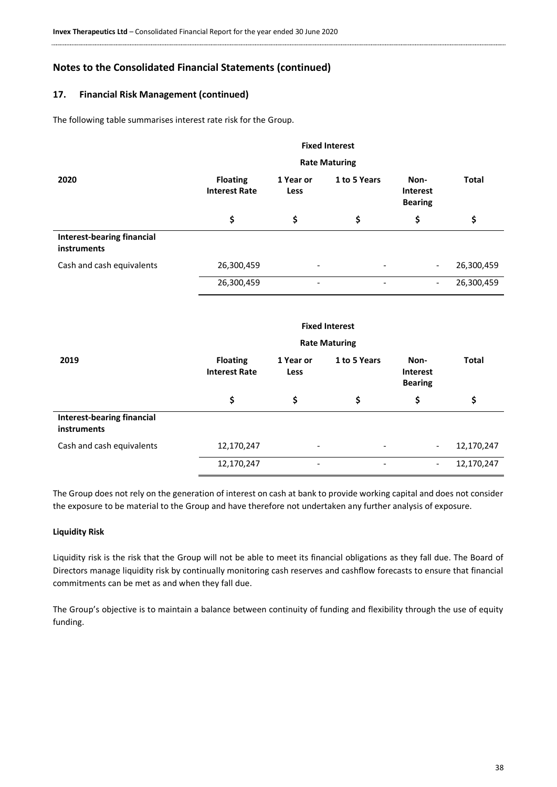# **17. Financial Risk Management (continued)**

The following table summarises interest rate risk for the Group.

|                                           |                                         |                          | <b>Fixed Interest</b>    |                                           |              |
|-------------------------------------------|-----------------------------------------|--------------------------|--------------------------|-------------------------------------------|--------------|
|                                           | <b>Rate Maturing</b>                    |                          |                          |                                           |              |
| 2020                                      | <b>Floating</b><br><b>Interest Rate</b> | 1 Year or<br>Less        | 1 to 5 Years             | Non-<br><b>Interest</b><br><b>Bearing</b> | <b>Total</b> |
|                                           | \$                                      | \$                       | \$                       | \$                                        | \$           |
| Interest-bearing financial<br>instruments |                                         |                          |                          |                                           |              |
| Cash and cash equivalents                 | 26,300,459                              |                          |                          | $\overline{\phantom{a}}$                  | 26,300,459   |
|                                           | 26,300,459                              | $\overline{\phantom{0}}$ | $\overline{\phantom{0}}$ | $\overline{\phantom{0}}$                  | 26,300,459   |
|                                           |                                         |                          |                          |                                           |              |
|                                           |                                         |                          | <b>Fixed Interest</b>    |                                           |              |
|                                           |                                         |                          | <b>Rate Maturing</b>     |                                           |              |
| 2019                                      | <b>Floating</b><br><b>Interest Rate</b> | 1 Year or<br>Less        | 1 to 5 Years             | Non-<br><b>Interest</b><br><b>Bearing</b> | <b>Total</b> |

|                                                         |            |   |                          | . .                      |            |
|---------------------------------------------------------|------------|---|--------------------------|--------------------------|------------|
|                                                         |            |   |                          |                          |            |
| <b>Interest-bearing financial</b><br><b>instruments</b> |            |   |                          |                          |            |
| Cash and cash equivalents                               | 12,170,247 | - | $\overline{\phantom{a}}$ | $\overline{\phantom{0}}$ | 12,170,247 |
|                                                         | 12,170,247 | - | -                        | $\overline{\phantom{0}}$ | 12,170,247 |

The Group does not rely on the generation of interest on cash at bank to provide working capital and does not consider the exposure to be material to the Group and have therefore not undertaken any further analysis of exposure.

#### **Liquidity Risk**

Liquidity risk is the risk that the Group will not be able to meet its financial obligations as they fall due. The Board of Directors manage liquidity risk by continually monitoring cash reserves and cashflow forecasts to ensure that financial commitments can be met as and when they fall due.

The Group's objective is to maintain a balance between continuity of funding and flexibility through the use of equity funding.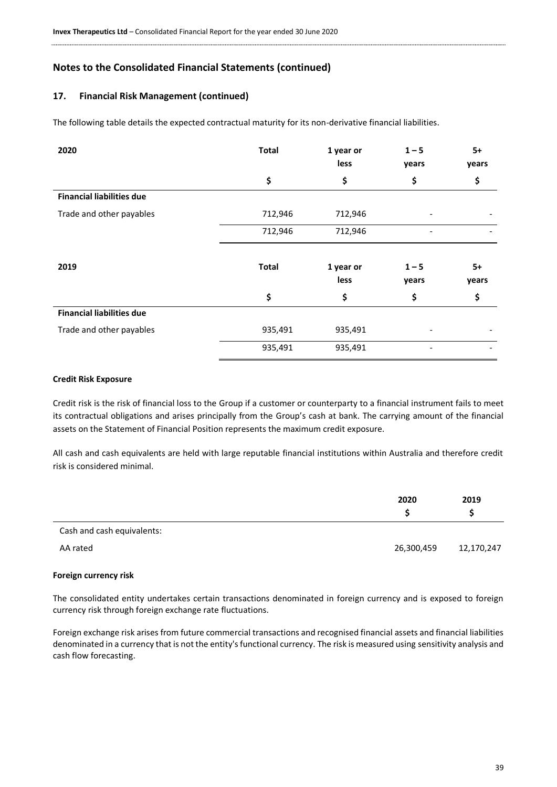### **17. Financial Risk Management (continued)**

The following table details the expected contractual maturity for its non-derivative financial liabilities.

| 2020                             | <b>Total</b> | 1 year or<br>less | $1 - 5$<br>years         | $5+$<br>years |
|----------------------------------|--------------|-------------------|--------------------------|---------------|
|                                  | \$           | \$                | \$                       | \$            |
| <b>Financial liabilities due</b> |              |                   |                          |               |
| Trade and other payables         | 712,946      | 712,946           |                          |               |
|                                  | 712,946      | 712,946           | $\overline{\phantom{0}}$ |               |
| 2019                             | <b>Total</b> | 1 year or<br>less | $1 - 5$<br>years         | $5+$<br>years |
|                                  | \$           | \$                | \$                       | \$            |
| <b>Financial liabilities due</b> |              |                   |                          |               |
| Trade and other payables         | 935,491      | 935,491           |                          |               |
|                                  | 935,491      | 935,491           |                          |               |

#### **Credit Risk Exposure**

Credit risk is the risk of financial loss to the Group if a customer or counterparty to a financial instrument fails to meet its contractual obligations and arises principally from the Group's cash at bank. The carrying amount of the financial assets on the Statement of Financial Position represents the maximum credit exposure.

All cash and cash equivalents are held with large reputable financial institutions within Australia and therefore credit risk is considered minimal.

|                            | 2020       | 2019       |
|----------------------------|------------|------------|
| Cash and cash equivalents: |            |            |
| AA rated                   | 26,300,459 | 12,170,247 |

#### **Foreign currency risk**

The consolidated entity undertakes certain transactions denominated in foreign currency and is exposed to foreign currency risk through foreign exchange rate fluctuations.

Foreign exchange risk arises from future commercial transactions and recognised financial assets and financial liabilities denominated in a currency that is not the entity's functional currency. The risk is measured using sensitivity analysis and cash flow forecasting.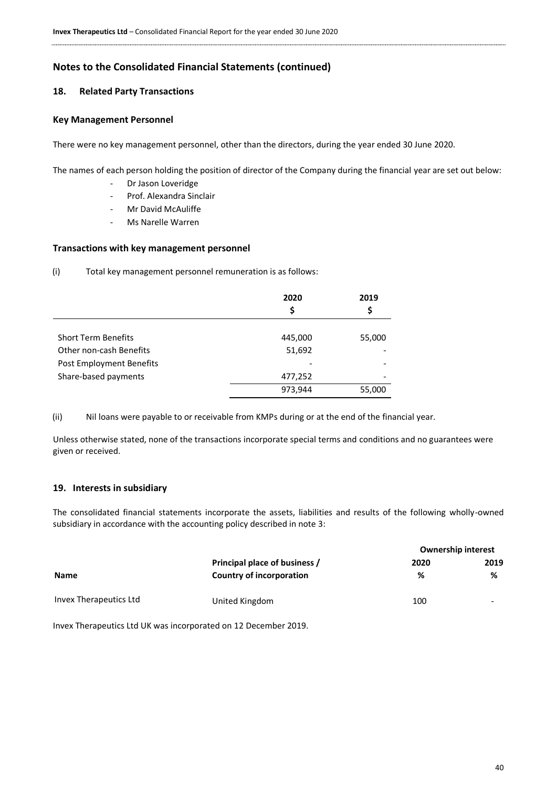# **18. Related Party Transactions**

#### **Key Management Personnel**

There were no key management personnel, other than the directors, during the year ended 30 June 2020.

The names of each person holding the position of director of the Company during the financial year are set out below:

- Dr Jason Loveridge
- Prof. Alexandra Sinclair
- Mr David McAuliffe
- Ms Narelle Warren

#### **Transactions with key management personnel**

(i) Total key management personnel remuneration is as follows:

|                            | 2020<br>\$ | 2019<br>\$ |
|----------------------------|------------|------------|
|                            |            |            |
| <b>Short Term Benefits</b> | 445,000    | 55,000     |
| Other non-cash Benefits    | 51,692     |            |
| Post Employment Benefits   |            |            |
| Share-based payments       | 477,252    |            |
|                            | 973,944    | 55,000     |

(ii) Nil loans were payable to or receivable from KMPs during or at the end of the financial year.

Unless otherwise stated, none of the transactions incorporate special terms and conditions and no guarantees were given or received.

# **19. Interests in subsidiary**

The consolidated financial statements incorporate the assets, liabilities and results of the following wholly-owned subsidiary in accordance with the accounting policy described in note 3:

|                        |                                 | <b>Ownership interest</b> |      |  |
|------------------------|---------------------------------|---------------------------|------|--|
|                        | Principal place of business /   | 2020                      | 2019 |  |
| <b>Name</b>            | <b>Country of incorporation</b> | ℅                         | %    |  |
| Invex Therapeutics Ltd | United Kingdom                  | 100                       | -    |  |

Invex Therapeutics Ltd UK was incorporated on 12 December 2019.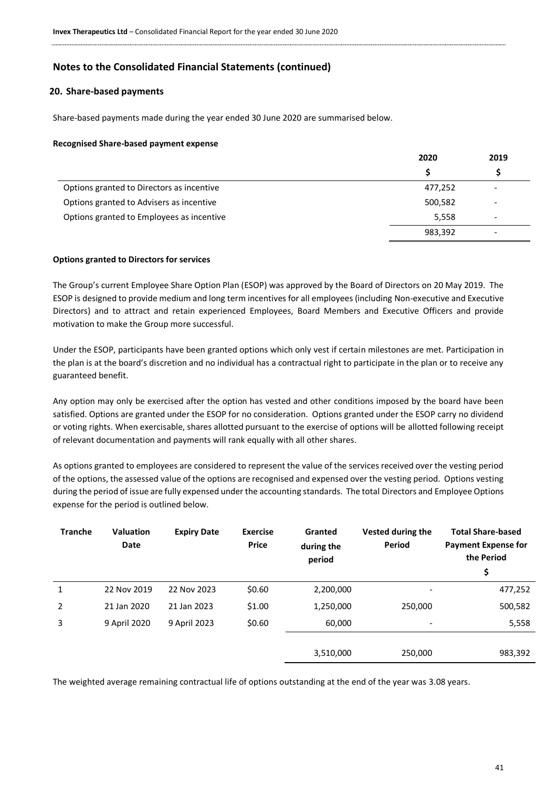#### **20. Share-based payments**

Share-based payments made during the year ended 30 June 2020 are summarised below.

#### **Recognised Share-based payment expense**

|                                           | 2020    | 2019 |
|-------------------------------------------|---------|------|
|                                           | S       |      |
| Options granted to Directors as incentive | 477,252 |      |
| Options granted to Advisers as incentive  | 500,582 | -    |
| Options granted to Employees as incentive | 5,558   | -    |
|                                           | 983,392 | -    |

#### **Options granted to Directors for services**

The Group's current Employee Share Option Plan (ESOP) was approved by the Board of Directors on 20 May 2019. The ESOP is designed to provide medium and long term incentives for all employees (including Non-executive and Executive Directors) and to attract and retain experienced Employees, Board Members and Executive Officers and provide motivation to make the Group more successful.

Under the ESOP, participants have been granted options which only vest if certain milestones are met. Participation in the plan is at the board's discretion and no individual has a contractual right to participate in the plan or to receive any guaranteed benefit.

Any option may only be exercised after the option has vested and other conditions imposed by the board have been satisfied. Options are granted under the ESOP for no consideration. Options granted under the ESOP carry no dividend or voting rights. When exercisable, shares allotted pursuant to the exercise of options will be allotted following receipt of relevant documentation and payments will rank equally with all other shares.

As options granted to employees are considered to represent the value of the services received over the vesting period of the options, the assessed value of the options are recognised and expensed over the vesting period. Options vesting during the period of issue are fully expensed under the accounting standards. The total Directors and Employee Options expense for the period is outlined below.

| <b>Tranche</b> | <b>Valuation</b><br><b>Date</b> | <b>Expiry Date</b> | <b>Exercise</b><br><b>Price</b> | Granted<br>during the<br>period | Vested during the<br>Period | <b>Total Share-based</b><br><b>Payment Expense for</b><br>the Period<br>\$ |
|----------------|---------------------------------|--------------------|---------------------------------|---------------------------------|-----------------------------|----------------------------------------------------------------------------|
| 1              | 22 Nov 2019                     | 22 Nov 2023        | \$0.60                          | 2,200,000                       | $\overline{\phantom{a}}$    | 477,252                                                                    |
| 2              | 21 Jan 2020                     | 21 Jan 2023        | \$1.00                          | 1,250,000                       | 250,000                     | 500,582                                                                    |
| 3              | 9 April 2020                    | 9 April 2023       | \$0.60                          | 60,000                          | $\overline{\phantom{a}}$    | 5,558                                                                      |
|                |                                 |                    |                                 |                                 |                             |                                                                            |
|                |                                 |                    |                                 | 3,510,000                       | 250,000                     | 983,392                                                                    |

The weighted average remaining contractual life of options outstanding at the end of the year was 3.08 years.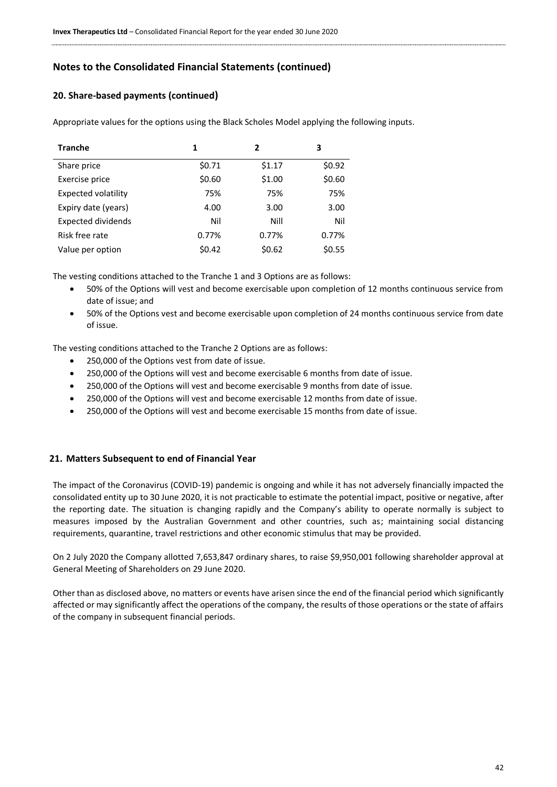# **20. Share-based payments (continued)**

Appropriate values for the options using the Black Scholes Model applying the following inputs.

| <b>Tranche</b>            | 1      | 2      | 3      |
|---------------------------|--------|--------|--------|
| Share price               | \$0.71 | \$1.17 | \$0.92 |
| Exercise price            | \$0.60 | \$1.00 | \$0.60 |
| Expected volatility       | 75%    | 75%    | 75%    |
| Expiry date (years)       | 4.00   | 3.00   | 3.00   |
| <b>Expected dividends</b> | Nil    | Nill   | Nil    |
| Risk free rate            | 0.77%  | 0.77%  | 0.77%  |
| Value per option          | \$0.42 | \$0.62 | \$0.55 |

The vesting conditions attached to the Tranche 1 and 3 Options are as follows:

- 50% of the Options will vest and become exercisable upon completion of 12 months continuous service from date of issue; and
- 50% of the Options vest and become exercisable upon completion of 24 months continuous service from date of issue.

The vesting conditions attached to the Tranche 2 Options are as follows:

- 250,000 of the Options vest from date of issue.
- 250,000 of the Options will vest and become exercisable 6 months from date of issue.
- 250,000 of the Options will vest and become exercisable 9 months from date of issue.
- 250,000 of the Options will vest and become exercisable 12 months from date of issue.
- 250,000 of the Options will vest and become exercisable 15 months from date of issue.

#### **21. Matters Subsequent to end of Financial Year**

The impact of the Coronavirus (COVID-19) pandemic is ongoing and while it has not adversely financially impacted the consolidated entity up to 30 June 2020, it is not practicable to estimate the potential impact, positive or negative, after the reporting date. The situation is changing rapidly and the Company's ability to operate normally is subject to measures imposed by the Australian Government and other countries, such as; maintaining social distancing requirements, quarantine, travel restrictions and other economic stimulus that may be provided.

On 2 July 2020 the Company allotted 7,653,847 ordinary shares, to raise \$9,950,001 following shareholder approval at General Meeting of Shareholders on 29 June 2020.

Other than as disclosed above, no matters or events have arisen since the end of the financial period which significantly affected or may significantly affect the operations of the company, the results of those operations or the state of affairs of the company in subsequent financial periods.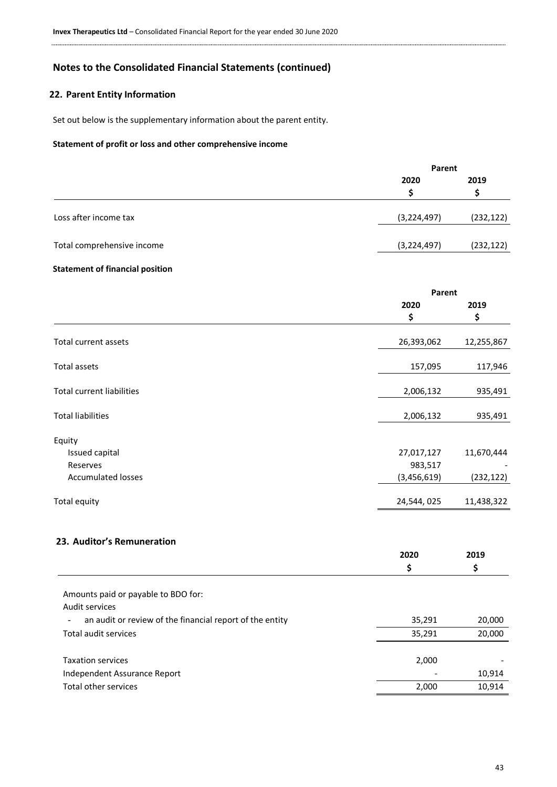# **22. Parent Entity Information**

Set out below is the supplementary information about the parent entity.

#### **Statement of profit or loss and other comprehensive income**

|                            | Parent        |            |
|----------------------------|---------------|------------|
|                            | 2020          | 2019       |
| Loss after income tax      | (3, 224, 497) | (232, 122) |
| Total comprehensive income | (3, 224, 497) | (232, 122) |
|                            |               |            |

# **Statement of financial position**

|                                  | Parent      |            |
|----------------------------------|-------------|------------|
|                                  | 2020        | 2019       |
|                                  | \$          | \$         |
| Total current assets             | 26,393,062  | 12,255,867 |
| Total assets                     | 157,095     | 117,946    |
| <b>Total current liabilities</b> | 2,006,132   | 935,491    |
| <b>Total liabilities</b>         | 2,006,132   | 935,491    |
| Equity                           |             |            |
| Issued capital                   | 27,017,127  | 11,670,444 |
| Reserves                         | 983,517     |            |
| <b>Accumulated losses</b>        | (3,456,619) | (232, 122) |
| Total equity                     | 24,544,025  | 11,438,322 |

# **23. Auditor's Remuneration**

|                                                          | 2020   | 2019   |  |
|----------------------------------------------------------|--------|--------|--|
|                                                          | \$     |        |  |
|                                                          |        |        |  |
| Amounts paid or payable to BDO for:                      |        |        |  |
| Audit services                                           |        |        |  |
| an audit or review of the financial report of the entity | 35,291 | 20,000 |  |
| Total audit services                                     | 35,291 | 20,000 |  |
|                                                          |        |        |  |
| <b>Taxation services</b>                                 | 2,000  |        |  |
| Independent Assurance Report                             |        | 10,914 |  |
| Total other services                                     | 2,000  | 10,914 |  |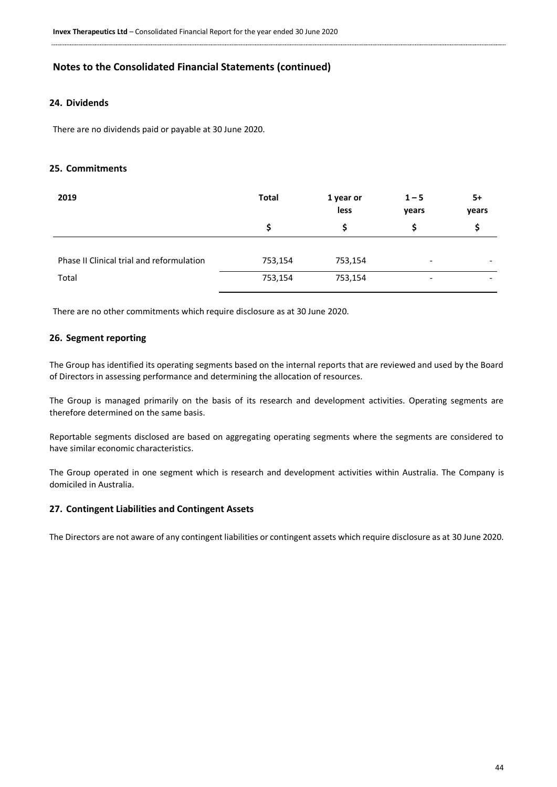# **24. Dividends**

There are no dividends paid or payable at 30 June 2020.

### **25. Commitments**

| 2019                                      | <b>Total</b> | 1 year or<br>less | $1 - 5$<br>years         | 5+<br>years |
|-------------------------------------------|--------------|-------------------|--------------------------|-------------|
|                                           | S            |                   | S                        | S           |
|                                           |              |                   |                          |             |
| Phase II Clinical trial and reformulation | 753,154      | 753,154           | $\overline{\phantom{0}}$ |             |
| Total                                     | 753,154      | 753,154           | $\overline{\phantom{a}}$ |             |

There are no other commitments which require disclosure as at 30 June 2020.

#### **26. Segment reporting**

The Group has identified its operating segments based on the internal reports that are reviewed and used by the Board of Directors in assessing performance and determining the allocation of resources.

The Group is managed primarily on the basis of its research and development activities. Operating segments are therefore determined on the same basis.

Reportable segments disclosed are based on aggregating operating segments where the segments are considered to have similar economic characteristics.

The Group operated in one segment which is research and development activities within Australia. The Company is domiciled in Australia.

#### **27. Contingent Liabilities and Contingent Assets**

<span id="page-43-0"></span>The Directors are not aware of any contingent liabilities or contingent assets which require disclosure as at 30 June 2020.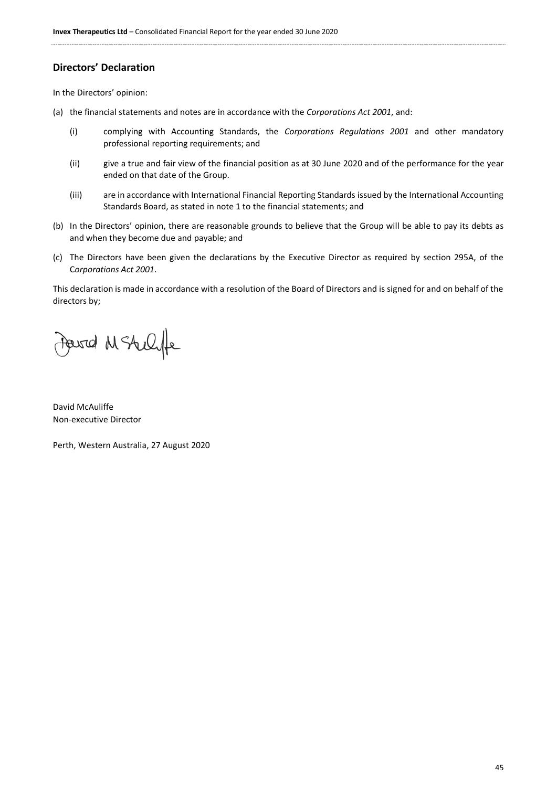# **Directors' Declaration**

In the Directors' opinion:

- (a) the financial statements and notes are in accordance with the *Corporations Act 2001*, and:
	- (i) complying with Accounting Standards, the *Corporations Regulations 2001* and other mandatory professional reporting requirements; and
	- (ii) give a true and fair view of the financial position as at 30 June 2020 and of the performance for the year ended on that date of the Group.
	- (iii) are in accordance with International Financial Reporting Standards issued by the International Accounting Standards Board, as stated in note 1 to the financial statements; and
- (b) In the Directors' opinion, there are reasonable grounds to believe that the Group will be able to pay its debts as and when they become due and payable; and
- (c) The Directors have been given the declarations by the Executive Director as required by section 295A, of the C*orporations Act 2001*.

This declaration is made in accordance with a resolution of the Board of Directors and is signed for and on behalf of the directors by;

Jewid MSAUlfe

David McAuliffe Non-executive Director

Perth, Western Australia, 27 August 2020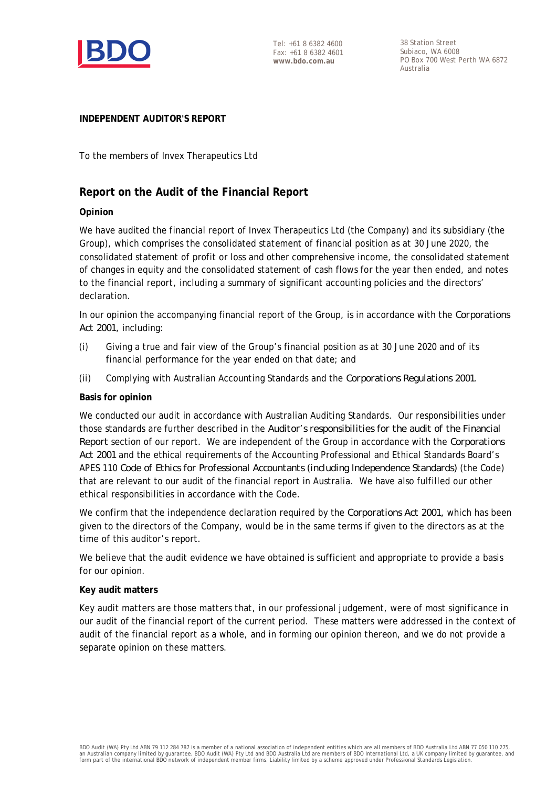

38 Station Street Subiaco, WA 6008 PO Box 700 West Perth WA 6872 Australia

# **INDEPENDENT AUDITOR'S REPORT**

To the members of Invex Therapeutics Ltd

# **Report on the Audit of the Financial Report**

# **Opinion**

We have audited the financial report of Invex Therapeutics Ltd (the Company) and its subsidiary (the Group), which comprises the consolidated statement of financial position as at 30 June 2020, the consolidated statement of profit or loss and other comprehensive income, the consolidated statement of changes in equity and the consolidated statement of cash flows for the year then ended, and notes to the financial report, including a summary of significant accounting policies and the directors' declaration.

In our opinion the accompanying financial report of the Group, is in accordance with the *Corporations Act 2001*, including:

- (i) Giving a true and fair view of the Group's financial position as at 30 June 2020 and of its financial performance for the year ended on that date; and
- (ii) Complying with Australian Accounting Standards and the *Corporations Regulations 2001*.

# **Basis for opinion**

We conducted our audit in accordance with Australian Auditing Standards. Our responsibilities under those standards are further described in the *Auditor's responsibilities for the audit of the Financial Report* section of our report. We are independent of the Group in accordance with the *Corporations Act 2001* and the ethical requirements of the Accounting Professional and Ethical Standards Board's APES 110 *Code of Ethics for Professional Accountants (including Independence Standards)* (the Code) that are relevant to our audit of the financial report in Australia. We have also fulfilled our other ethical responsibilities in accordance with the Code.

We confirm that the independence declaration required by the *Corporations Act 2001*, which has been given to the directors of the Company, would be in the same terms if given to the directors as at the time of this auditor's report.

We believe that the audit evidence we have obtained is sufficient and appropriate to provide a basis for our opinion.

# **Key audit matters**

Key audit matters are those matters that, in our professional judgement, were of most significance in our audit of the financial report of the current period. These matters were addressed in the context of audit of the financial report as a whole, and in forming our opinion thereon, and we do not provide a separate opinion on these matters.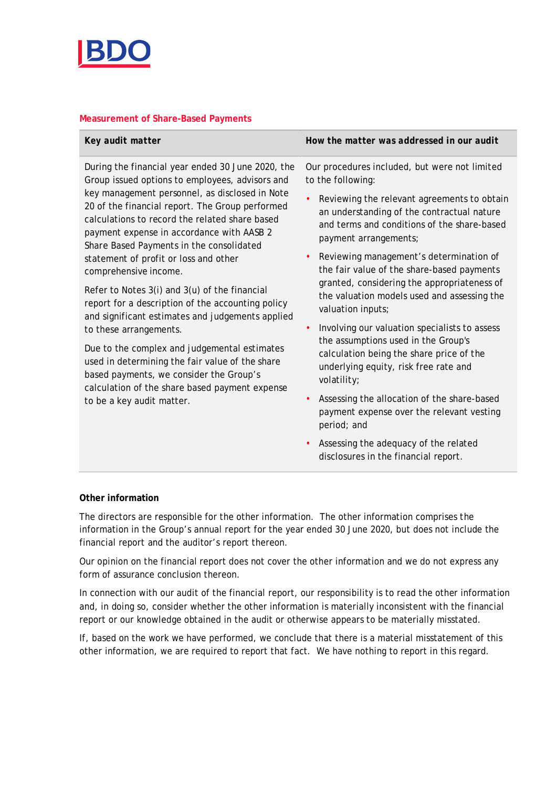

# **Measurement of Share-Based Payments**

| Key audit matter | How the matter was addressed in our audit |
|------------------|-------------------------------------------|
|                  |                                           |

During the financial year ended 30 June 2020, the Group issued options to employees, advisors and key management personnel, as disclosed in Note 20 of the financial report. The Group performed calculations to record the related share based payment expense in accordance with AASB 2 *Share Based Payments* in the consolidated statement of profit or loss and other comprehensive income.

Refer to Notes 3(i) and 3(u) of the financial report for a description of the accounting policy and significant estimates and judgements applied to these arrangements.

Due to the complex and judgemental estimates used in determining the fair value of the share based payments, we consider the Group's calculation of the share based payment expense to be a key audit matter.

Our procedures included, but were not limited to the following:

- Reviewing the relevant agreements to obtain an understanding of the contractual nature and terms and conditions of the share-based payment arrangements;
- Reviewing management's determination of the fair value of the share-based payments granted, considering the appropriateness of the valuation models used and assessing the valuation inputs;
- Involving our valuation specialists to assess the assumptions used in the Group's calculation being the share price of the underlying equity, risk free rate and volatility;
- Assessing the allocation of the share-based payment expense over the relevant vesting period; and
- Assessing the adequacy of the related disclosures in the financial report.

# **Other information**

The directors are responsible for the other information. The other information comprises the information in the Group's annual report for the year ended 30 June 2020, but does not include the financial report and the auditor's report thereon.

Our opinion on the financial report does not cover the other information and we do not express any form of assurance conclusion thereon.

In connection with our audit of the financial report, our responsibility is to read the other information and, in doing so, consider whether the other information is materially inconsistent with the financial report or our knowledge obtained in the audit or otherwise appears to be materially misstated.

If, based on the work we have performed, we conclude that there is a material misstatement of this other information, we are required to report that fact. We have nothing to report in this regard.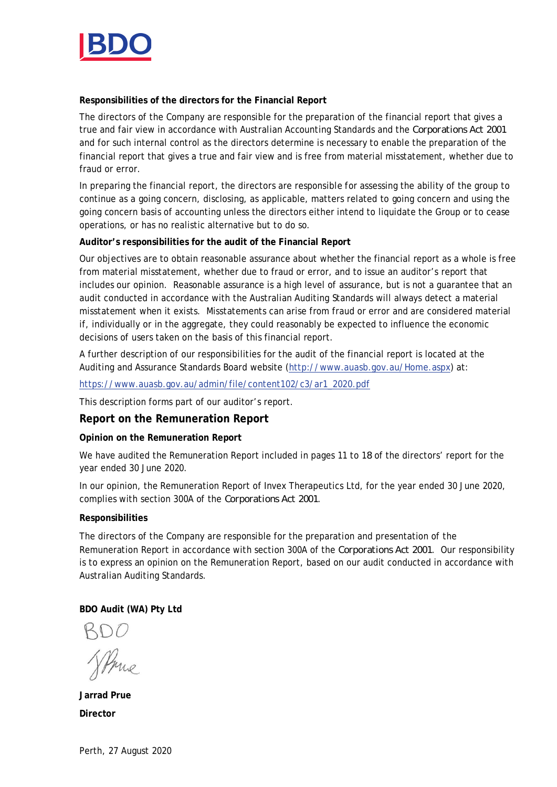

**Responsibilities of the directors for the Financial Report**

The directors of the Company are responsible for the preparation of the financial report that gives a true and fair view in accordance with Australian Accounting Standards and the *Corporations Act 2001* and for such internal control as the directors determine is necessary to enable the preparation of the financial report that gives a true and fair view and is free from material misstatement, whether due to fraud or error.

In preparing the financial report, the directors are responsible for assessing the ability of the group to continue as a going concern, disclosing, as applicable, matters related to going concern and using the going concern basis of accounting unless the directors either intend to liquidate the Group or to cease operations, or has no realistic alternative but to do so.

**Auditor's responsibilities for the audit of the Financial Report**

Our objectives are to obtain reasonable assurance about whether the financial report as a whole is free from material misstatement, whether due to fraud or error, and to issue an auditor's report that includes our opinion. Reasonable assurance is a high level of assurance, but is not a guarantee that an audit conducted in accordance with the Australian Auditing Standards will always detect a material misstatement when it exists. Misstatements can arise from fraud or error and are considered material if, individually or in the aggregate, they could reasonably be expected to influence the economic decisions of users taken on the basis of this financial report.

A further description of our responsibilities for the audit of the financial report is located at the Auditing and Assurance Standards Board website (http://www.auasb.gov.au/Home.aspx) at:

https://www.auasb.gov.au/admin/file/content102/c3/ar1\_2020.pdf

This description forms part of our auditor's report.

**Report on the Remuneration Report**

**Opinion on the Remuneration Report**

We have audited the Remuneration Report included in pages 11 to 18 of the directors' report for the year ended 30 June 2020.

In our opinion, the Remuneration Report of Invex Therapeutics Ltd, for the year ended 30 June 2020, complies with section 300A of the *Corporations Act 2001*.

# **Responsibilities**

The directors of the Company are responsible for the preparation and presentation of the Remuneration Report in accordance with section 300A of the *Corporations Act 2001*. Our responsibility is to express an opinion on the Remuneration Report, based on our audit conducted in accordance with Australian Auditing Standards.

**BDO Audit (WA) Pty Ltd**

SPme

**Jarrad Prue Director**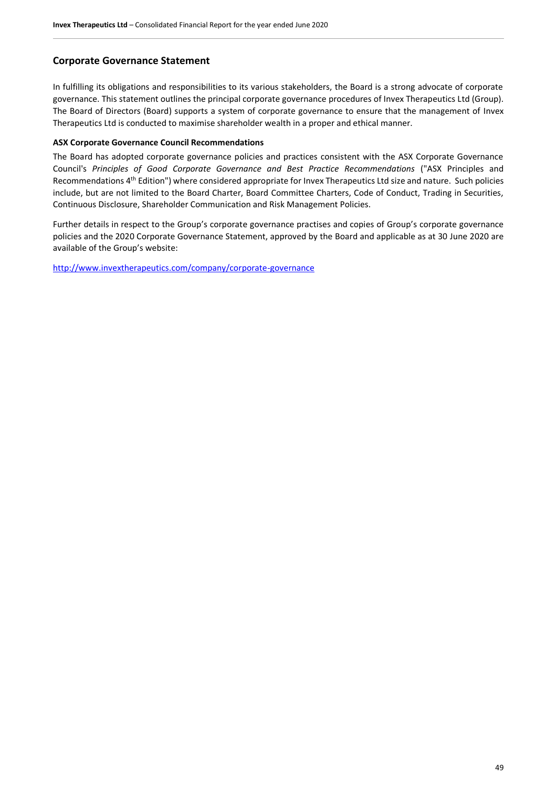# **Corporate Governance Statement**

In fulfilling its obligations and responsibilities to its various stakeholders, the Board is a strong advocate of corporate governance. This statement outlines the principal corporate governance procedures of Invex Therapeutics Ltd (Group). The Board of Directors (Board) supports a system of corporate governance to ensure that the management of Invex Therapeutics Ltd is conducted to maximise shareholder wealth in a proper and ethical manner.

#### **ASX Corporate Governance Council Recommendations**

The Board has adopted corporate governance policies and practices consistent with the ASX Corporate Governance Council's *Principles of Good Corporate Governance and Best Practice Recommendations* ("ASX Principles and Recommendations 4<sup>th</sup> Edition") where considered appropriate for Invex Therapeutics Ltd size and nature. Such policies include, but are not limited to the Board Charter, Board Committee Charters, Code of Conduct, Trading in Securities, Continuous Disclosure, Shareholder Communication and Risk Management Policies.

Further details in respect to the Group's corporate governance practises and copies of Group's corporate governance policies and the 2020 Corporate Governance Statement, approved by the Board and applicable as at 30 June 2020 are available of the Group's website:

<http://www.invextherapeutics.com/company/corporate-governance>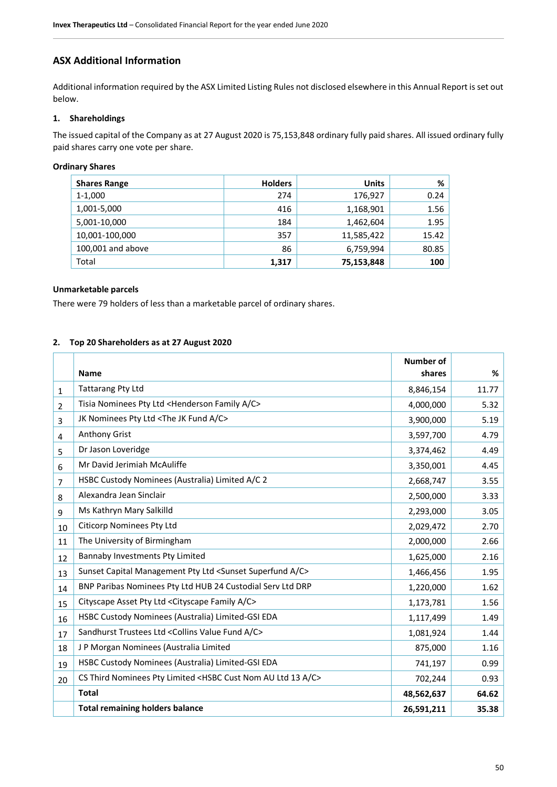# **ASX Additional Information**

Additional information required by the ASX Limited Listing Rules not disclosed elsewhere in this Annual Report is set out below.

# **1. Shareholdings**

The issued capital of the Company as at 27 August 2020 is 75,153,848 ordinary fully paid shares. All issued ordinary fully paid shares carry one vote per share.

#### **Ordinary Shares**

| <b>Shares Range</b> | <b>Holders</b> | <b>Units</b> | %     |
|---------------------|----------------|--------------|-------|
| 1-1,000             | 274            | 176,927      | 0.24  |
| 1,001-5,000         | 416            | 1,168,901    | 1.56  |
| 5,001-10,000        | 184            | 1,462,604    | 1.95  |
| 10,001-100,000      | 357            | 11,585,422   | 15.42 |
| 100,001 and above   | 86             | 6,759,994    | 80.85 |
| Total               | 1,317          | 75,153,848   | 100   |

#### **Unmarketable parcels**

There were 79 holders of less than a marketable parcel of ordinary shares.

### **2. Top 20 Shareholders as at 27 August 2020**

|                |                                                                                         | <b>Number of</b> |       |
|----------------|-----------------------------------------------------------------------------------------|------------------|-------|
|                | <b>Name</b>                                                                             | shares           | %     |
| $\mathbf{1}$   | <b>Tattarang Pty Ltd</b>                                                                | 8,846,154        | 11.77 |
| 2              | Tisia Nominees Pty Ltd <henderson a="" c="" family=""></henderson>                      | 4,000,000        | 5.32  |
| 3              | JK Nominees Pty Ltd <the a="" c="" fund="" jk=""></the>                                 | 3,900,000        | 5.19  |
| 4              | Anthony Grist                                                                           | 3,597,700        | 4.79  |
| 5              | Dr Jason Loveridge                                                                      | 3,374,462        | 4.49  |
| 6              | Mr David Jerimiah McAuliffe                                                             | 3,350,001        | 4.45  |
| $\overline{7}$ | HSBC Custody Nominees (Australia) Limited A/C 2                                         | 2,668,747        | 3.55  |
| 8              | Alexandra Jean Sinclair                                                                 | 2,500,000        | 3.33  |
| 9              | Ms Kathryn Mary Salkilld                                                                | 2,293,000        | 3.05  |
| 10             | <b>Citicorp Nominees Pty Ltd</b>                                                        | 2,029,472        | 2.70  |
| 11             | The University of Birmingham                                                            | 2,000,000        | 2.66  |
| 12             | Bannaby Investments Pty Limited                                                         | 1,625,000        | 2.16  |
| 13             | Sunset Capital Management Pty Ltd <sunset a="" c="" superfund=""></sunset>              | 1,466,456        | 1.95  |
| 14             | BNP Paribas Nominees Pty Ltd HUB 24 Custodial Serv Ltd DRP                              | 1,220,000        | 1.62  |
| 15             | Cityscape Asset Pty Ltd < Cityscape Family A/C>                                         | 1,173,781        | 1.56  |
| 16             | HSBC Custody Nominees (Australia) Limited-GSI EDA                                       | 1,117,499        | 1.49  |
| 17             | Sandhurst Trustees Ltd < Collins Value Fund A/C>                                        | 1,081,924        | 1.44  |
| 18             | J P Morgan Nominees (Australia Limited                                                  | 875,000          | 1.16  |
| 19             | HSBC Custody Nominees (Australia) Limited-GSI EDA                                       | 741,197          | 0.99  |
| 20             | CS Third Nominees Pty Limited <hsbc 13="" a="" au="" c="" cust="" ltd="" nom=""></hsbc> | 702,244          | 0.93  |
|                | <b>Total</b>                                                                            | 48,562,637       | 64.62 |
|                | <b>Total remaining holders balance</b>                                                  | 26,591,211       | 35.38 |